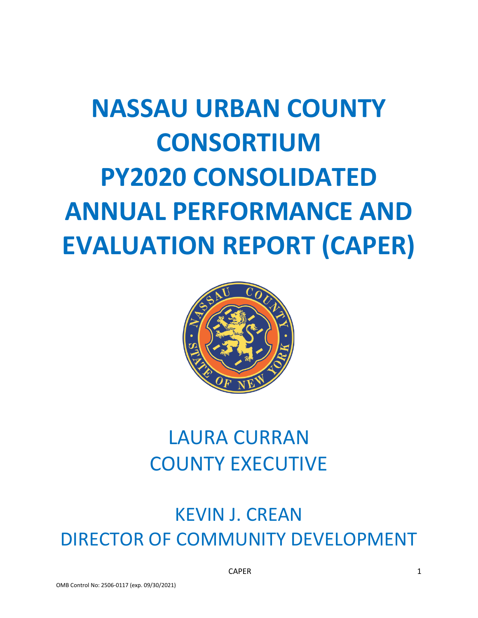# **NASSAU URBAN COUNTY CONSORTIUM PY2020 CONSOLIDATED ANNUAL PERFORMANCE AND EVALUATION REPORT (CAPER)**



## LAURA CURRAN COUNTY EXECUTIVE

## KEVIN J. CREAN DIRECTOR OF COMMUNITY DEVELOPMENT

CAPER 1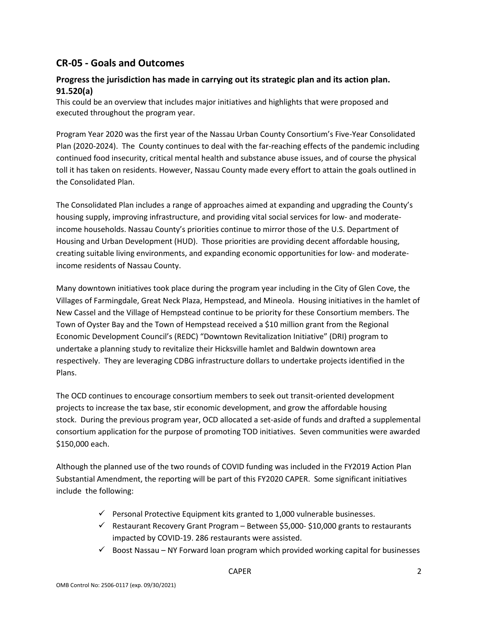## **CR-05 - Goals and Outcomes**

#### **Progress the jurisdiction has made in carrying out its strategic plan and its action plan. 91.520(a)**

This could be an overview that includes major initiatives and highlights that were proposed and executed throughout the program year.

Program Year 2020 was the first year of the Nassau Urban County Consortium's Five-Year Consolidated Plan (2020-2024). The County continues to deal with the far-reaching effects of the pandemic including continued food insecurity, critical mental health and substance abuse issues, and of course the physical toll it has taken on residents. However, Nassau County made every effort to attain the goals outlined in the Consolidated Plan.

The Consolidated Plan includes a range of approaches aimed at expanding and upgrading the County's housing supply, improving infrastructure, and providing vital social services for low- and moderateincome households. Nassau County's priorities continue to mirror those of the U.S. Department of Housing and Urban Development (HUD). Those priorities are providing decent affordable housing, creating suitable living environments, and expanding economic opportunities for low- and moderateincome residents of Nassau County.

Many downtown initiatives took place during the program year including in the City of Glen Cove, the Villages of Farmingdale, Great Neck Plaza, Hempstead, and Mineola. Housing initiatives in the hamlet of New Cassel and the Village of Hempstead continue to be priority for these Consortium members. The Town of Oyster Bay and the Town of Hempstead received a \$10 million grant from the Regional Economic Development Council's (REDC) "Downtown Revitalization Initiative" (DRI) program to undertake a planning study to revitalize their Hicksville hamlet and Baldwin downtown area respectively. They are leveraging CDBG infrastructure dollars to undertake projects identified in the Plans.

The OCD continues to encourage consortium members to seek out transit-oriented development projects to increase the tax base, stir economic development, and grow the affordable housing stock. During the previous program year, OCD allocated a set-aside of funds and drafted a supplemental consortium application for the purpose of promoting TOD initiatives. Seven communities were awarded \$150,000 each.

Although the planned use of the two rounds of COVID funding was included in the FY2019 Action Plan Substantial Amendment, the reporting will be part of this FY2020 CAPER. Some significant initiatives include the following:

- $\checkmark$  Personal Protective Equipment kits granted to 1,000 vulnerable businesses.
- ✓ Restaurant Recovery Grant Program Between \$5,000- \$10,000 grants to restaurants impacted by COVID-19. 286 restaurants were assisted.
- $\checkmark$  Boost Nassau NY Forward loan program which provided working capital for businesses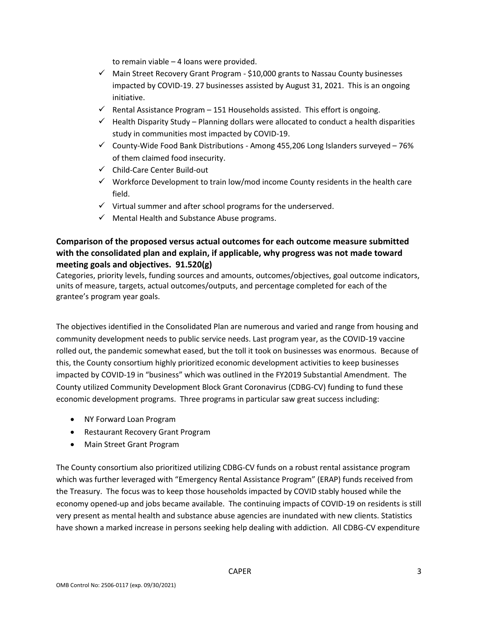to remain viable – 4 loans were provided.

- ✓ Main Street Recovery Grant Program \$10,000 grants to Nassau County businesses impacted by COVID-19. 27 businesses assisted by August 31, 2021. This is an ongoing initiative.
- $\checkmark$  Rental Assistance Program 151 Households assisted. This effort is ongoing.
- $\checkmark$  Health Disparity Study Planning dollars were allocated to conduct a health disparities study in communities most impacted by COVID-19.
- $\checkmark$  County-Wide Food Bank Distributions Among 455,206 Long Islanders surveyed 76% of them claimed food insecurity.
- ✓ Child-Care Center Build-out
- $\checkmark$  Workforce Development to train low/mod income County residents in the health care field.
- ✓ Virtual summer and after school programs for the underserved.
- $\checkmark$  Mental Health and Substance Abuse programs.

#### **Comparison of the proposed versus actual outcomes for each outcome measure submitted with the consolidated plan and explain, if applicable, why progress was not made toward meeting goals and objectives. 91.520(g)**

Categories, priority levels, funding sources and amounts, outcomes/objectives, goal outcome indicators, units of measure, targets, actual outcomes/outputs, and percentage completed for each of the grantee's program year goals.

The objectives identified in the Consolidated Plan are numerous and varied and range from housing and community development needs to public service needs. Last program year, as the COVID-19 vaccine rolled out, the pandemic somewhat eased, but the toll it took on businesses was enormous. Because of this, the County consortium highly prioritized economic development activities to keep businesses impacted by COVID-19 in "business" which was outlined in the FY2019 Substantial Amendment. The County utilized Community Development Block Grant Coronavirus (CDBG-CV) funding to fund these economic development programs. Three programs in particular saw great success including:

- NY Forward Loan Program
- Restaurant Recovery Grant Program
- Main Street Grant Program

The County consortium also prioritized utilizing CDBG-CV funds on a robust rental assistance program which was further leveraged with "Emergency Rental Assistance Program" (ERAP) funds received from the Treasury. The focus was to keep those households impacted by COVID stably housed while the economy opened-up and jobs became available. The continuing impacts of COVID-19 on residents is still very present as mental health and substance abuse agencies are inundated with new clients. Statistics have shown a marked increase in persons seeking help dealing with addiction. All CDBG-CV expenditure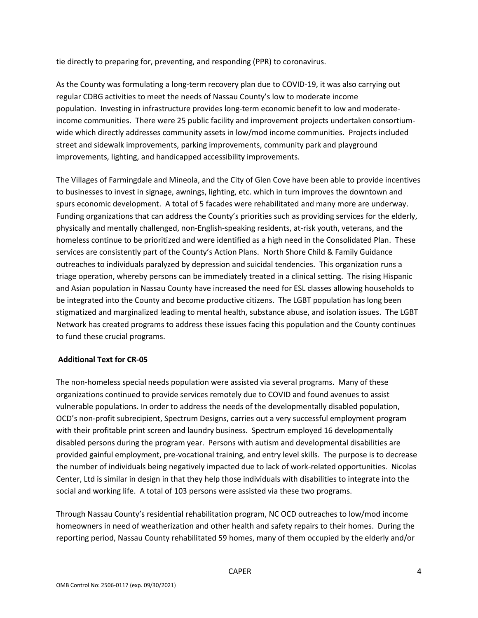tie directly to preparing for, preventing, and responding (PPR) to coronavirus.

As the County was formulating a long-term recovery plan due to COVID-19, it was also carrying out regular CDBG activities to meet the needs of Nassau County's low to moderate income population. Investing in infrastructure provides long-term economic benefit to low and moderateincome communities. There were 25 public facility and improvement projects undertaken consortiumwide which directly addresses community assets in low/mod income communities. Projects included street and sidewalk improvements, parking improvements, community park and playground improvements, lighting, and handicapped accessibility improvements.

The Villages of Farmingdale and Mineola, and the City of Glen Cove have been able to provide incentives to businesses to invest in signage, awnings, lighting, etc. which in turn improves the downtown and spurs economic development. A total of 5 facades were rehabilitated and many more are underway. Funding organizations that can address the County's priorities such as providing services for the elderly, physically and mentally challenged, non-English-speaking residents, at-risk youth, veterans, and the homeless continue to be prioritized and were identified as a high need in the Consolidated Plan. These services are consistently part of the County's Action Plans. North Shore Child & Family Guidance outreaches to individuals paralyzed by depression and suicidal tendencies. This organization runs a triage operation, whereby persons can be immediately treated in a clinical setting. The rising Hispanic and Asian population in Nassau County have increased the need for ESL classes allowing households to be integrated into the County and become productive citizens. The LGBT population has long been stigmatized and marginalized leading to mental health, substance abuse, and isolation issues. The LGBT Network has created programs to address these issues facing this population and the County continues to fund these crucial programs.

#### **Additional Text for CR-05**

The non-homeless special needs population were assisted via several programs. Many of these organizations continued to provide services remotely due to COVID and found avenues to assist vulnerable populations. In order to address the needs of the developmentally disabled population, OCD's non-profit subrecipient, Spectrum Designs, carries out a very successful employment program with their profitable print screen and laundry business. Spectrum employed 16 developmentally disabled persons during the program year. Persons with autism and developmental disabilities are provided gainful employment, pre-vocational training, and entry level skills. The purpose is to decrease the number of individuals being negatively impacted due to lack of work-related opportunities. Nicolas Center, Ltd is similar in design in that they help those individuals with disabilities to integrate into the social and working life. A total of 103 persons were assisted via these two programs.

Through Nassau County's residential rehabilitation program, NC OCD outreaches to low/mod income homeowners in need of weatherization and other health and safety repairs to their homes. During the reporting period, Nassau County rehabilitated 59 homes, many of them occupied by the elderly and/or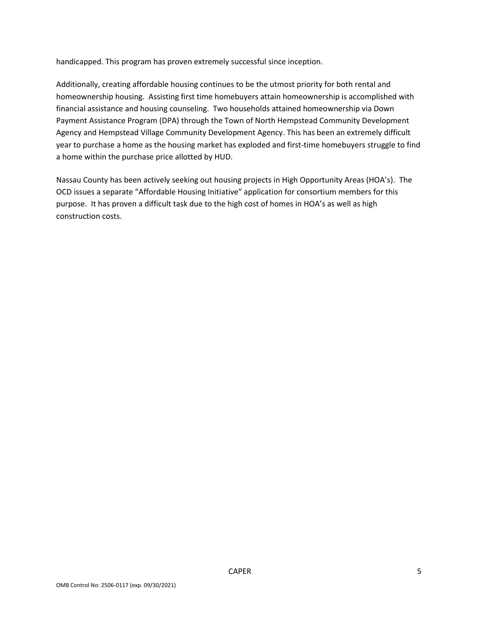handicapped. This program has proven extremely successful since inception.

Additionally, creating affordable housing continues to be the utmost priority for both rental and homeownership housing. Assisting first time homebuyers attain homeownership is accomplished with financial assistance and housing counseling. Two households attained homeownership via Down Payment Assistance Program (DPA) through the Town of North Hempstead Community Development Agency and Hempstead Village Community Development Agency. This has been an extremely difficult year to purchase a home as the housing market has exploded and first-time homebuyers struggle to find a home within the purchase price allotted by HUD.

Nassau County has been actively seeking out housing projects in High Opportunity Areas (HOA's). The OCD issues a separate "Affordable Housing Initiative" application for consortium members for this purpose. It has proven a difficult task due to the high cost of homes in HOA's as well as high construction costs.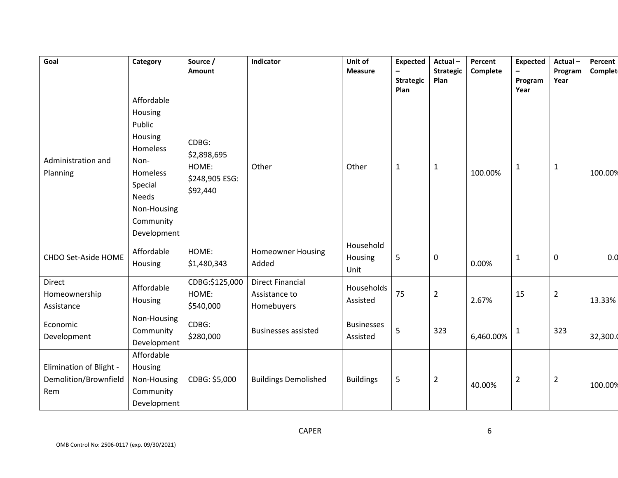| Goal                                                    | Category                                                                                                                                                | Source /<br>Amount                                          | Indicator                                              | Unit of<br><b>Measure</b>     | <b>Expected</b><br><b>Strategic</b><br>Plan | Actual-<br><b>Strategic</b><br>Plan | Percent<br>Complete | <b>Expected</b><br>Program<br>Year | Actual-<br>Program<br>Year | Percent<br><b>Complet</b> |
|---------------------------------------------------------|---------------------------------------------------------------------------------------------------------------------------------------------------------|-------------------------------------------------------------|--------------------------------------------------------|-------------------------------|---------------------------------------------|-------------------------------------|---------------------|------------------------------------|----------------------------|---------------------------|
| Administration and<br>Planning                          | Affordable<br>Housing<br>Public<br>Housing<br><b>Homeless</b><br>Non-<br>Homeless<br>Special<br><b>Needs</b><br>Non-Housing<br>Community<br>Development | CDBG:<br>\$2,898,695<br>HOME:<br>\$248,905 ESG:<br>\$92,440 | Other                                                  | Other                         | $\mathbf{1}$                                | 1                                   | 100.00%             | 1                                  | $\mathbf{1}$               | 100.00%                   |
| <b>CHDO Set-Aside HOME</b>                              | Affordable<br>Housing                                                                                                                                   | HOME:<br>\$1,480,343                                        | <b>Homeowner Housing</b><br>Added                      | Household<br>Housing<br>Unit  | 5                                           | 0                                   | 0.00%               | $\mathbf 1$                        | $\mathsf 0$                | 0.0                       |
| Direct<br>Homeownership<br>Assistance                   | Affordable<br>Housing                                                                                                                                   | CDBG:\$125,000<br>HOME:<br>\$540,000                        | <b>Direct Financial</b><br>Assistance to<br>Homebuyers | Households<br>Assisted        | 75                                          | $\overline{2}$                      | 2.67%               | 15                                 | $\overline{2}$             | 13.33%                    |
| Economic<br>Development                                 | Non-Housing<br>Community<br>Development                                                                                                                 | CDBG:<br>\$280,000                                          | <b>Businesses assisted</b>                             | <b>Businesses</b><br>Assisted | 5                                           | 323                                 | 6,460.00%           | $\mathbf{1}$                       | 323                        | 32,300.0                  |
| Elimination of Blight -<br>Demolition/Brownfield<br>Rem | Affordable<br>Housing<br>Non-Housing<br>Community<br>Development                                                                                        | CDBG: \$5,000                                               | <b>Buildings Demolished</b>                            | <b>Buildings</b>              | 5                                           | $\overline{2}$                      | 40.00%              | $\overline{2}$                     | $\overline{2}$             | 100.00%                   |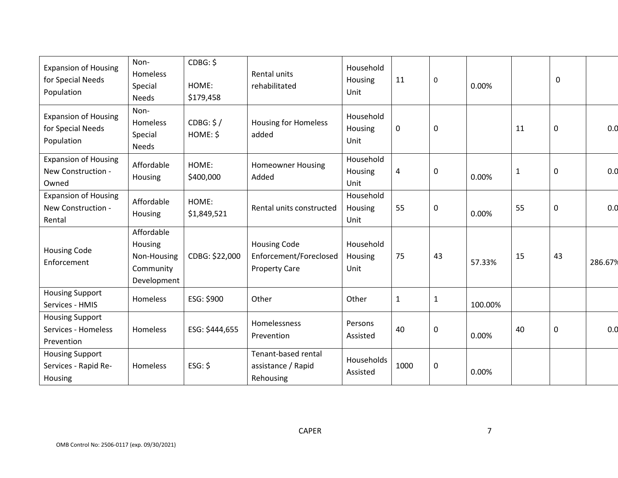| <b>Expansion of Housing</b><br>for Special Needs<br>Population | Non-<br>Homeless<br>Special<br><b>Needs</b>                      | CDBG: \$<br>HOME:<br>\$179,458 | Rental units<br>rehabilitated                                         | Household<br>Housing<br>Unit | 11           | $\pmb{0}$   | 0.00%   |              | 0  |         |
|----------------------------------------------------------------|------------------------------------------------------------------|--------------------------------|-----------------------------------------------------------------------|------------------------------|--------------|-------------|---------|--------------|----|---------|
| <b>Expansion of Housing</b><br>for Special Needs<br>Population | Non-<br>Homeless<br>Special<br><b>Needs</b>                      | CDBG: \$/<br>HOME: \$          | <b>Housing for Homeless</b><br>added                                  | Household<br>Housing<br>Unit | 0            | $\mathbf 0$ |         | 11           | 0  | 0.0     |
| <b>Expansion of Housing</b><br>New Construction -<br>Owned     | Affordable<br>Housing                                            | HOME:<br>\$400,000             | <b>Homeowner Housing</b><br>Added                                     | Household<br>Housing<br>Unit | 4            | $\mathbf 0$ | 0.00%   | $\mathbf{1}$ | 0  | 0.0     |
| <b>Expansion of Housing</b><br>New Construction -<br>Rental    | Affordable<br>Housing                                            | HOME:<br>\$1,849,521           | Rental units constructed                                              | Household<br>Housing<br>Unit | 55           | $\pmb{0}$   | 0.00%   | 55           | 0  | 0.0     |
| <b>Housing Code</b><br>Enforcement                             | Affordable<br>Housing<br>Non-Housing<br>Community<br>Development | CDBG: \$22,000                 | <b>Housing Code</b><br>Enforcement/Foreclosed<br><b>Property Care</b> | Household<br>Housing<br>Unit | 75           | 43          | 57.33%  | 15           | 43 | 286.67% |
| <b>Housing Support</b><br>Services - HMIS                      | Homeless                                                         | ESG: \$900                     | Other                                                                 | Other                        | $\mathbf{1}$ | $\mathbf 1$ | 100.00% |              |    |         |
| <b>Housing Support</b><br>Services - Homeless<br>Prevention    | Homeless                                                         | ESG: \$444,655                 | Homelessness<br>Prevention                                            | Persons<br>Assisted          | 40           | $\mathbf 0$ | 0.00%   | 40           | 0  | 0.0     |
| <b>Housing Support</b><br>Services - Rapid Re-<br>Housing      | Homeless                                                         | $ESG:$ \$                      | Tenant-based rental<br>assistance / Rapid<br>Rehousing                | Households<br>Assisted       | 1000         | $\pmb{0}$   | 0.00%   |              |    |         |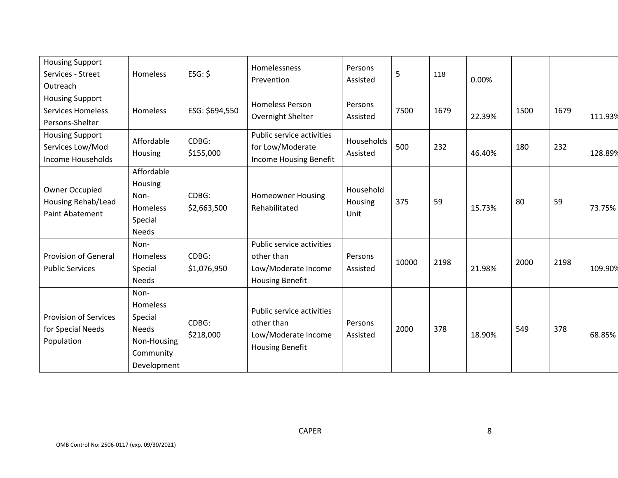| <b>Housing Support</b><br>Services - Street                           | Homeless                                                                               | $ESG:$ \$            | Homelessness                                                                             | Persons                      | 5     | 118  |        |      |      |         |
|-----------------------------------------------------------------------|----------------------------------------------------------------------------------------|----------------------|------------------------------------------------------------------------------------------|------------------------------|-------|------|--------|------|------|---------|
| Outreach                                                              |                                                                                        |                      | Prevention                                                                               | Assisted                     |       |      | 0.00%  |      |      |         |
| <b>Housing Support</b><br><b>Services Homeless</b><br>Persons-Shelter | Homeless                                                                               | ESG: \$694,550       | <b>Homeless Person</b><br>Overnight Shelter                                              | Persons<br>Assisted          | 7500  | 1679 | 22.39% | 1500 | 1679 | 111.93% |
| <b>Housing Support</b><br>Services Low/Mod<br>Income Households       | Affordable<br>Housing                                                                  | CDBG:<br>\$155,000   | Public service activities<br>for Low/Moderate<br>Income Housing Benefit                  | Households<br>Assisted       | 500   | 232  | 46.40% | 180  | 232  | 128.89% |
| Owner Occupied<br>Housing Rehab/Lead<br>Paint Abatement               | Affordable<br>Housing<br>Non-<br>Homeless<br>Special<br><b>Needs</b>                   | CDBG:<br>\$2,663,500 | <b>Homeowner Housing</b><br>Rehabilitated                                                | Household<br>Housing<br>Unit | 375   | 59   | 15.73% | 80   | 59   | 73.75%  |
| <b>Provision of General</b><br><b>Public Services</b>                 | Non-<br>Homeless<br>Special<br><b>Needs</b>                                            | CDBG:<br>\$1,076,950 | Public service activities<br>other than<br>Low/Moderate Income<br><b>Housing Benefit</b> | Persons<br>Assisted          | 10000 | 2198 | 21.98% | 2000 | 2198 | 109.90% |
| <b>Provision of Services</b><br>for Special Needs<br>Population       | Non-<br>Homeless<br>Special<br><b>Needs</b><br>Non-Housing<br>Community<br>Development | CDBG:<br>\$218,000   | Public service activities<br>other than<br>Low/Moderate Income<br><b>Housing Benefit</b> | Persons<br>Assisted          | 2000  | 378  | 18.90% | 549  | 378  | 68.85%  |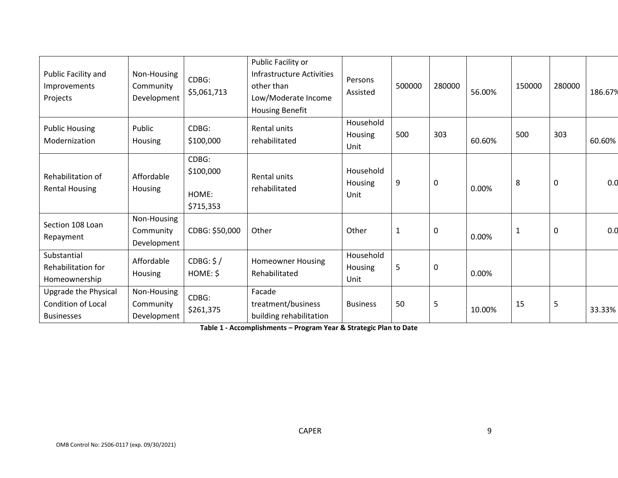| Public Facility and<br>Improvements<br>Projects                 | Non-Housing<br>Community<br>Development | CDBG:<br>\$5,061,713                     | Public Facility or<br>Infrastructure Activities<br>other than<br>Low/Moderate Income<br><b>Housing Benefit</b> | Persons<br>Assisted          | 500000       | 280000      | 56.00% | 150000       | 280000 | 186.67% |
|-----------------------------------------------------------------|-----------------------------------------|------------------------------------------|----------------------------------------------------------------------------------------------------------------|------------------------------|--------------|-------------|--------|--------------|--------|---------|
| <b>Public Housing</b><br>Modernization                          | Public<br><b>Housing</b>                | CDBG:<br>\$100,000                       | Rental units<br>rehabilitated                                                                                  | Household<br>Housing<br>Unit | 500          | 303         | 60.60% | 500          | 303    | 60.60%  |
| Rehabilitation of<br><b>Rental Housing</b>                      | Affordable<br>Housing                   | CDBG:<br>\$100,000<br>HOME:<br>\$715,353 | Rental units<br>rehabilitated                                                                                  | Household<br>Housing<br>Unit | 9            | $\mathbf 0$ | 0.00%  | 8            | 0      | 0.0     |
| Section 108 Loan<br>Repayment                                   | Non-Housing<br>Community<br>Development | CDBG: \$50,000                           | Other                                                                                                          | Other                        | $\mathbf{1}$ | 0           | 0.00%  | $\mathbf{1}$ | 0      | 0.0     |
| Substantial<br>Rehabilitation for<br>Homeownership              | Affordable<br>Housing                   | CDBG: \$/<br>HOME: \$                    | <b>Homeowner Housing</b><br>Rehabilitated                                                                      | Household<br>Housing<br>Unit | 5            | $\mathbf 0$ | 0.00%  |              |        |         |
| Upgrade the Physical<br>Condition of Local<br><b>Businesses</b> | Non-Housing<br>Community<br>Development | CDBG:<br>\$261,375                       | Facade<br>treatment/business<br>building rehabilitation                                                        | <b>Business</b>              | 50           | 5           | 10.00% | 15           | 5      | 33.33%  |

**Table 1 - Accomplishments – Program Year & Strategic Plan to Date**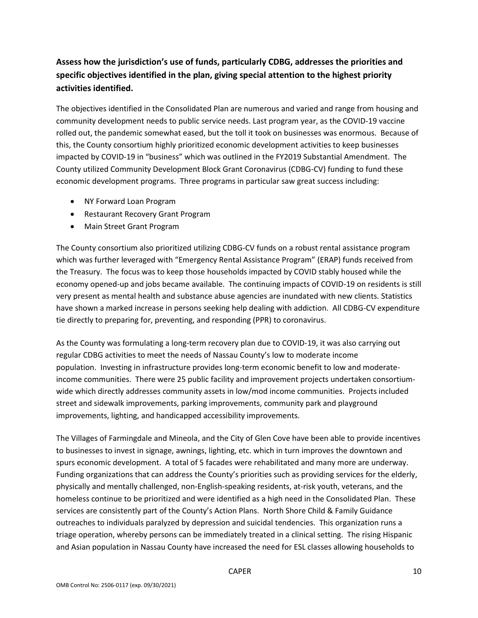## **Assess how the jurisdiction's use of funds, particularly CDBG, addresses the priorities and specific objectives identified in the plan, giving special attention to the highest priority activities identified.**

The objectives identified in the Consolidated Plan are numerous and varied and range from housing and community development needs to public service needs. Last program year, as the COVID-19 vaccine rolled out, the pandemic somewhat eased, but the toll it took on businesses was enormous. Because of this, the County consortium highly prioritized economic development activities to keep businesses impacted by COVID-19 in "business" which was outlined in the FY2019 Substantial Amendment. The County utilized Community Development Block Grant Coronavirus (CDBG-CV) funding to fund these economic development programs. Three programs in particular saw great success including:

- NY Forward Loan Program
- Restaurant Recovery Grant Program
- Main Street Grant Program

The County consortium also prioritized utilizing CDBG-CV funds on a robust rental assistance program which was further leveraged with "Emergency Rental Assistance Program" (ERAP) funds received from the Treasury. The focus was to keep those households impacted by COVID stably housed while the economy opened-up and jobs became available. The continuing impacts of COVID-19 on residents is still very present as mental health and substance abuse agencies are inundated with new clients. Statistics have shown a marked increase in persons seeking help dealing with addiction. All CDBG-CV expenditure tie directly to preparing for, preventing, and responding (PPR) to coronavirus.

As the County was formulating a long-term recovery plan due to COVID-19, it was also carrying out regular CDBG activities to meet the needs of Nassau County's low to moderate income population. Investing in infrastructure provides long-term economic benefit to low and moderateincome communities. There were 25 public facility and improvement projects undertaken consortiumwide which directly addresses community assets in low/mod income communities. Projects included street and sidewalk improvements, parking improvements, community park and playground improvements, lighting, and handicapped accessibility improvements.

The Villages of Farmingdale and Mineola, and the City of Glen Cove have been able to provide incentives to businesses to invest in signage, awnings, lighting, etc. which in turn improves the downtown and spurs economic development. A total of 5 facades were rehabilitated and many more are underway. Funding organizations that can address the County's priorities such as providing services for the elderly, physically and mentally challenged, non-English-speaking residents, at-risk youth, veterans, and the homeless continue to be prioritized and were identified as a high need in the Consolidated Plan. These services are consistently part of the County's Action Plans. North Shore Child & Family Guidance outreaches to individuals paralyzed by depression and suicidal tendencies. This organization runs a triage operation, whereby persons can be immediately treated in a clinical setting. The rising Hispanic and Asian population in Nassau County have increased the need for ESL classes allowing households to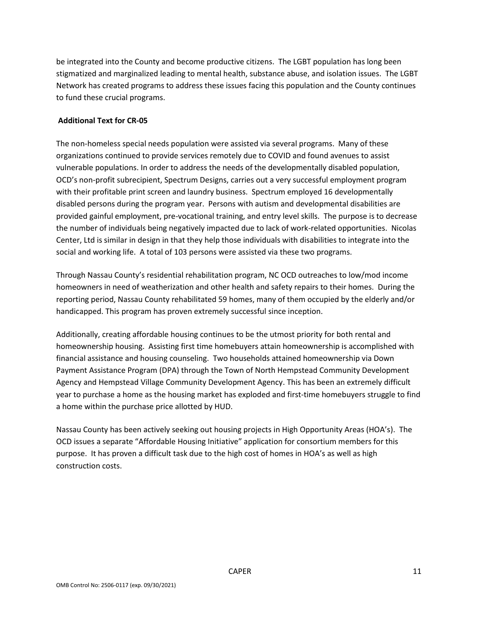be integrated into the County and become productive citizens. The LGBT population has long been stigmatized and marginalized leading to mental health, substance abuse, and isolation issues. The LGBT Network has created programs to address these issues facing this population and the County continues to fund these crucial programs.

#### **Additional Text for CR-05**

The non-homeless special needs population were assisted via several programs. Many of these organizations continued to provide services remotely due to COVID and found avenues to assist vulnerable populations. In order to address the needs of the developmentally disabled population, OCD's non-profit subrecipient, Spectrum Designs, carries out a very successful employment program with their profitable print screen and laundry business. Spectrum employed 16 developmentally disabled persons during the program year. Persons with autism and developmental disabilities are provided gainful employment, pre-vocational training, and entry level skills. The purpose is to decrease the number of individuals being negatively impacted due to lack of work-related opportunities. Nicolas Center, Ltd is similar in design in that they help those individuals with disabilities to integrate into the social and working life. A total of 103 persons were assisted via these two programs.

Through Nassau County's residential rehabilitation program, NC OCD outreaches to low/mod income homeowners in need of weatherization and other health and safety repairs to their homes. During the reporting period, Nassau County rehabilitated 59 homes, many of them occupied by the elderly and/or handicapped. This program has proven extremely successful since inception.

Additionally, creating affordable housing continues to be the utmost priority for both rental and homeownership housing. Assisting first time homebuyers attain homeownership is accomplished with financial assistance and housing counseling. Two households attained homeownership via Down Payment Assistance Program (DPA) through the Town of North Hempstead Community Development Agency and Hempstead Village Community Development Agency. This has been an extremely difficult year to purchase a home as the housing market has exploded and first-time homebuyers struggle to find a home within the purchase price allotted by HUD.

Nassau County has been actively seeking out housing projects in High Opportunity Areas (HOA's). The OCD issues a separate "Affordable Housing Initiative" application for consortium members for this purpose. It has proven a difficult task due to the high cost of homes in HOA's as well as high construction costs.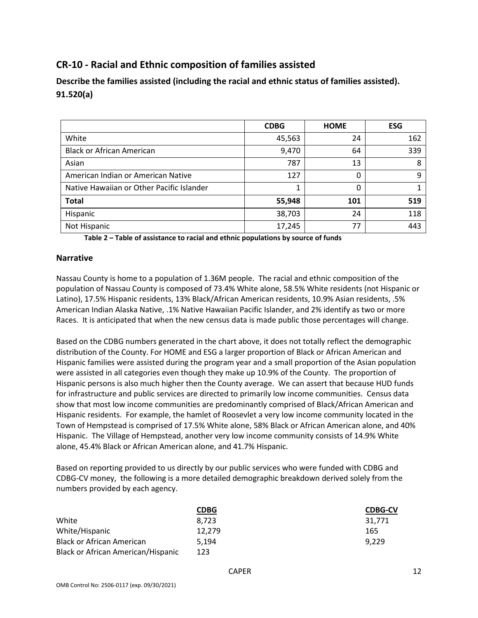## **CR-10 - Racial and Ethnic composition of families assisted**

**Describe the families assisted (including the racial and ethnic status of families assisted). 91.520(a)** 

|                                           | <b>CDBG</b> | <b>HOME</b> | <b>ESG</b> |
|-------------------------------------------|-------------|-------------|------------|
| White                                     | 45,563      | 24          | 162        |
| <b>Black or African American</b>          | 9,470       | 64          | 339        |
| Asian                                     | 787         | 13          | 8          |
| American Indian or American Native        | 127         | 0           | 9          |
| Native Hawaiian or Other Pacific Islander |             | 0           |            |
| <b>Total</b>                              | 55,948      | 101         | 519        |
| Hispanic                                  | 38,703      | 24          | 118        |
| Not Hispanic                              | 17,245      | 77          | 443        |

**Table 2 – Table of assistance to racial and ethnic populations by source of funds**

#### **Narrative**

Nassau County is home to a population of 1.36M people. The racial and ethnic composition of the population of Nassau County is composed of 73.4% White alone, 58.5% White residents (not Hispanic or Latino), 17.5% Hispanic residents, 13% Black/African American residents, 10.9% Asian residents, .5% American Indian Alaska Native, .1% Native Hawaiian Pacific Islander, and 2% identify as two or more Races. It is anticipated that when the new census data is made public those percentages will change.

Based on the CDBG numbers generated in the chart above, it does not totally reflect the demographic distribution of the County. For HOME and ESG a larger proportion of Black or African American and Hispanic families were assisted during the program year and a small proportion of the Asian population were assisted in all categories even though they make up 10.9% of the County. The proportion of Hispanic persons is also much higher then the County average. We can assert that because HUD funds for infrastructure and public services are directed to primarily low income communities. Census data show that most low income communities are predominantly comprised of Black/African American and Hispanic residents. For example, the hamlet of Roosevlet a very low income community located in the Town of Hempstead is comprised of 17.5% White alone, 58% Black or African American alone, and 40% Hispanic. The Village of Hempstead, another very low income community consists of 14.9% White alone, 45.4% Black or African American alone, and 41.7% Hispanic.

Based on reporting provided to us directly by our public services who were funded with CDBG and CDBG-CV money, the following is a more detailed demographic breakdown derived solely from the numbers provided by each agency.

|                                           | <b>CDBG</b> | <b>CDBG-CV</b> |
|-------------------------------------------|-------------|----------------|
| White                                     | 8.723       | 31.771         |
| White/Hispanic                            | 12.279      | 165            |
| <b>Black or African American</b>          | 5.194       | 9.229          |
| <b>Black or African American/Hispanic</b> | 123         |                |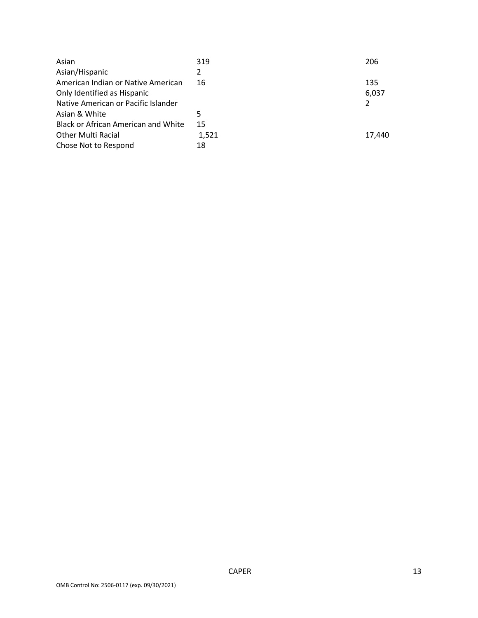| Asian                               | 319   | 206    |
|-------------------------------------|-------|--------|
| Asian/Hispanic                      | 2     |        |
| American Indian or Native American  | 16    | 135    |
| Only Identified as Hispanic         |       | 6.037  |
| Native American or Pacific Islander |       |        |
| Asian & White                       | 5     |        |
| Black or African American and White | 15    |        |
| <b>Other Multi Racial</b>           | 1,521 | 17,440 |
| Chose Not to Respond                | 18    |        |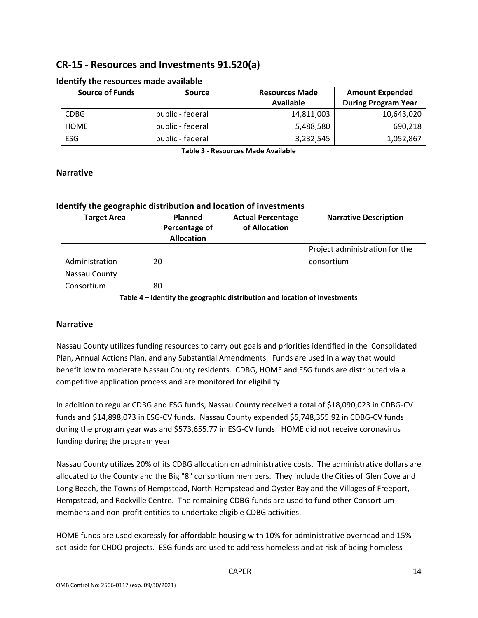## **CR-15 - Resources and Investments 91.520(a)**

| <b>Source of Funds</b> | <b>Source</b>    | <b>Resources Made</b> | <b>Amount Expended</b>     |
|------------------------|------------------|-----------------------|----------------------------|
|                        |                  | Available             | <b>During Program Year</b> |
| <b>CDBG</b>            | public - federal | 14,811,003            | 10,643,020                 |
| <b>HOME</b>            | public - federal | 5,488,580             | 690,218                    |
| ESG                    | public - federal | 3,232,545             | 1,052,867                  |

#### **Identify the resources made available**

**Table 3 - Resources Made Available**

#### **Narrative**

#### **Identify the geographic distribution and location of investments**

| <b>Target Area</b> | Planned<br>Percentage of<br><b>Allocation</b> | <b>Actual Percentage</b><br>of Allocation | <b>Narrative Description</b>   |
|--------------------|-----------------------------------------------|-------------------------------------------|--------------------------------|
|                    |                                               |                                           | Project administration for the |
| Administration     | 20                                            |                                           | consortium                     |
| Nassau County      |                                               |                                           |                                |
| Consortium         | 80                                            |                                           |                                |

**Table 4 – Identify the geographic distribution and location of investments**

#### **Narrative**

Nassau County utilizes funding resources to carry out goals and priorities identified in the Consolidated Plan, Annual Actions Plan, and any Substantial Amendments. Funds are used in a way that would benefit low to moderate Nassau County residents. CDBG, HOME and ESG funds are distributed via a competitive application process and are monitored for eligibility.

In addition to regular CDBG and ESG funds, Nassau County received a total of \$18,090,023 in CDBG-CV funds and \$14,898,073 in ESG-CV funds. Nassau County expended \$5,748,355.92 in CDBG-CV funds during the program year was and \$573,655.77 in ESG-CV funds. HOME did not receive coronavirus funding during the program year

Nassau County utilizes 20% of its CDBG allocation on administrative costs. The administrative dollars are allocated to the County and the Big "8" consortium members. They include the Cities of Glen Cove and Long Beach, the Towns of Hempstead, North Hempstead and Oyster Bay and the Villages of Freeport, Hempstead, and Rockville Centre. The remaining CDBG funds are used to fund other Consortium members and non-profit entities to undertake eligible CDBG activities.

HOME funds are used expressly for affordable housing with 10% for administrative overhead and 15% set-aside for CHDO projects. ESG funds are used to address homeless and at risk of being homeless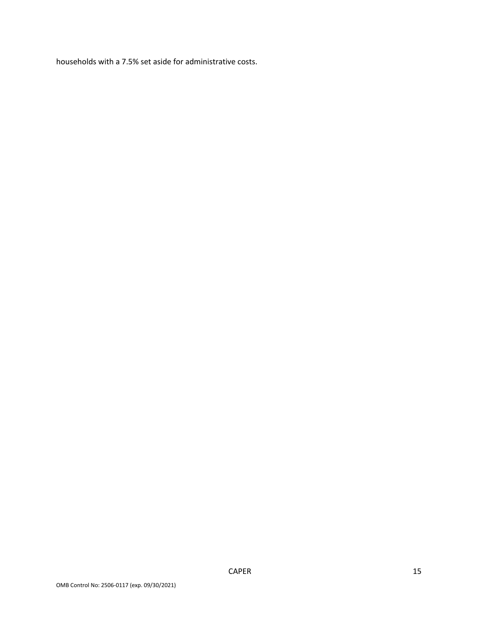households with a 7.5% set aside for administrative costs.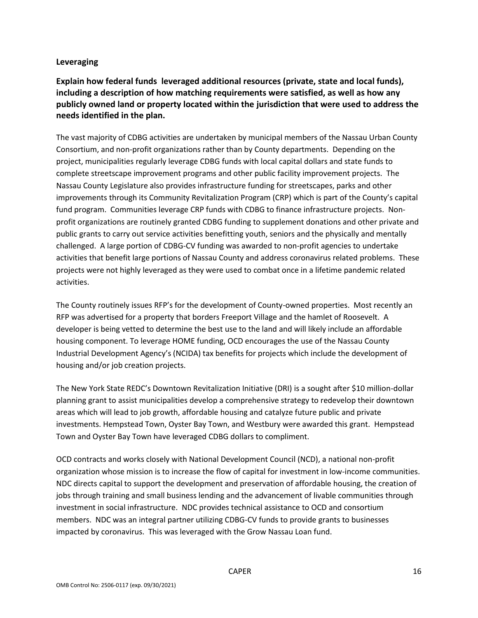#### **Leveraging**

## **Explain how federal funds leveraged additional resources (private, state and local funds), including a description of how matching requirements were satisfied, as well as how any publicly owned land or property located within the jurisdiction that were used to address the needs identified in the plan.**

The vast majority of CDBG activities are undertaken by municipal members of the Nassau Urban County Consortium, and non-profit organizations rather than by County departments. Depending on the project, municipalities regularly leverage CDBG funds with local capital dollars and state funds to complete streetscape improvement programs and other public facility improvement projects. The Nassau County Legislature also provides infrastructure funding for streetscapes, parks and other improvements through its Community Revitalization Program (CRP) which is part of the County's capital fund program. Communities leverage CRP funds with CDBG to finance infrastructure projects. Nonprofit organizations are routinely granted CDBG funding to supplement donations and other private and public grants to carry out service activities benefitting youth, seniors and the physically and mentally challenged. A large portion of CDBG-CV funding was awarded to non-profit agencies to undertake activities that benefit large portions of Nassau County and address coronavirus related problems. These projects were not highly leveraged as they were used to combat once in a lifetime pandemic related activities.

The County routinely issues RFP's for the development of County-owned properties. Most recently an RFP was advertised for a property that borders Freeport Village and the hamlet of Roosevelt. A developer is being vetted to determine the best use to the land and will likely include an affordable housing component. To leverage HOME funding, OCD encourages the use of the Nassau County Industrial Development Agency's (NCIDA) tax benefits for projects which include the development of housing and/or job creation projects.

The New York State REDC's Downtown Revitalization Initiative (DRI) is a sought after \$10 million-dollar planning grant to assist municipalities develop a comprehensive strategy to redevelop their downtown areas which will lead to job growth, affordable housing and catalyze future public and private investments. Hempstead Town, Oyster Bay Town, and Westbury were awarded this grant. Hempstead Town and Oyster Bay Town have leveraged CDBG dollars to compliment.

OCD contracts and works closely with National Development Council (NCD), a national non-profit organization whose mission is to increase the flow of capital for investment in low-income communities. NDC directs capital to support the development and preservation of affordable housing, the creation of jobs through training and small business lending and the advancement of livable communities through investment in social infrastructure. NDC provides technical assistance to OCD and consortium members. NDC was an integral partner utilizing CDBG-CV funds to provide grants to businesses impacted by coronavirus. This was leveraged with the Grow Nassau Loan fund.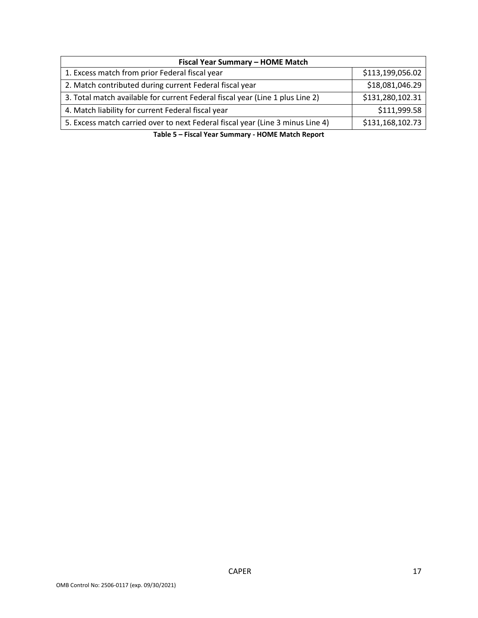| Fiscal Year Summary - HOME Match                                                                                                                                                                                                |                  |  |  |  |  |  |
|---------------------------------------------------------------------------------------------------------------------------------------------------------------------------------------------------------------------------------|------------------|--|--|--|--|--|
| 1. Excess match from prior Federal fiscal year                                                                                                                                                                                  | \$113,199,056.02 |  |  |  |  |  |
| 2. Match contributed during current Federal fiscal year                                                                                                                                                                         | \$18,081,046.29  |  |  |  |  |  |
| 3. Total match available for current Federal fiscal year (Line 1 plus Line 2)                                                                                                                                                   | \$131,280,102.31 |  |  |  |  |  |
| 4. Match liability for current Federal fiscal year                                                                                                                                                                              | \$111,999.58     |  |  |  |  |  |
| 5. Excess match carried over to next Federal fiscal year (Line 3 minus Line 4)                                                                                                                                                  | \$131,168,102.73 |  |  |  |  |  |
| $\sim$ . The contract of the contract of the contract of the contract of the contract of the contract of the contract of the contract of the contract of the contract of the contract of the contract of the contract of the co |                  |  |  |  |  |  |

**Table 5 – Fiscal Year Summary - HOME Match Report**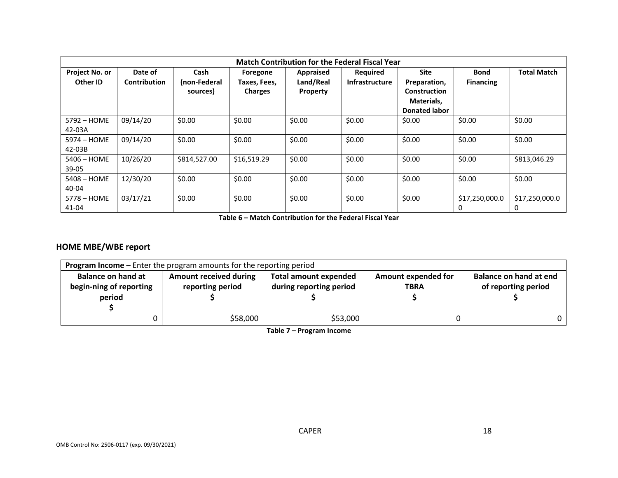|                                   | <b>Match Contribution for the Federal Fiscal Year</b> |                                  |                                            |                                    |                                   |                                                                                          |                                 |                     |
|-----------------------------------|-------------------------------------------------------|----------------------------------|--------------------------------------------|------------------------------------|-----------------------------------|------------------------------------------------------------------------------------------|---------------------------------|---------------------|
| <b>Project No. or</b><br>Other ID | Date of<br><b>Contribution</b>                        | Cash<br>(non-Federal<br>sources) | Foregone<br>Taxes, Fees,<br><b>Charges</b> | Appraised<br>Land/Real<br>Property | Required<br><b>Infrastructure</b> | <b>Site</b><br>Preparation,<br><b>Construction</b><br>Materials,<br><b>Donated labor</b> | <b>Bond</b><br><b>Financing</b> | <b>Total Match</b>  |
| 5792 – HOME<br>42-03A             | 09/14/20                                              | \$0.00                           | \$0.00                                     | \$0.00                             | \$0.00                            | \$0.00                                                                                   | \$0.00                          | \$0.00              |
| 5974 - HOME<br>42-03B             | 09/14/20                                              | \$0.00                           | \$0.00                                     | \$0.00                             | \$0.00                            | \$0.00                                                                                   | \$0.00                          | \$0.00              |
| $5406 - HOME$<br>$39-05$          | 10/26/20                                              | \$814,527.00                     | \$16,519.29                                | \$0.00                             | \$0.00                            | \$0.00                                                                                   | \$0.00                          | \$813,046.29        |
| $5408 - HOME$<br>40-04            | 12/30/20                                              | \$0.00                           | \$0.00                                     | \$0.00                             | \$0.00                            | \$0.00                                                                                   | \$0.00                          | \$0.00              |
| 5778 – HOME<br>41-04              | 03/17/21                                              | \$0.00                           | \$0.00                                     | \$0.00                             | \$0.00                            | \$0.00                                                                                   | \$17,250,000.0<br>0             | \$17,250,000.0<br>0 |

**Table 6 – Match Contribution for the Federal Fiscal Year**

## **HOME MBE/WBE report**

| <b>Program Income</b> – Enter the program amounts for the reporting period |                                                   |                                                         |                                           |                                               |  |  |  |  |  |
|----------------------------------------------------------------------------|---------------------------------------------------|---------------------------------------------------------|-------------------------------------------|-----------------------------------------------|--|--|--|--|--|
| <b>Balance on hand at</b><br>begin-ning of reporting<br>period             | <b>Amount received during</b><br>reporting period | <b>Total amount expended</b><br>during reporting period | <b>Amount expended for</b><br><b>TBRA</b> | Balance on hand at end<br>of reporting period |  |  |  |  |  |
|                                                                            | \$58,000                                          | \$53,000                                                |                                           |                                               |  |  |  |  |  |

**Table 7 – Program Income**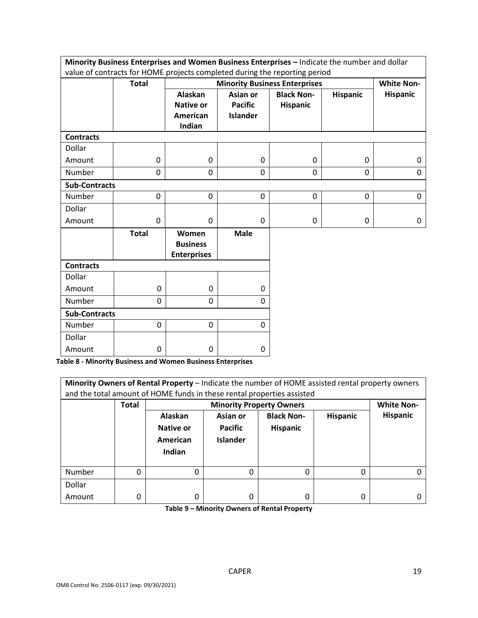| Minority Business Enterprises and Women Business Enterprises - Indicate the number and dollar |              |                                                |                                      |                   |                 |                 |  |  |
|-----------------------------------------------------------------------------------------------|--------------|------------------------------------------------|--------------------------------------|-------------------|-----------------|-----------------|--|--|
| value of contracts for HOME projects completed during the reporting period                    |              |                                                |                                      |                   |                 |                 |  |  |
|                                                                                               | <b>Total</b> |                                                | <b>Minority Business Enterprises</b> |                   |                 |                 |  |  |
|                                                                                               |              | <b>Alaskan</b>                                 | Asian or                             | <b>Black Non-</b> | <b>Hispanic</b> | <b>Hispanic</b> |  |  |
|                                                                                               |              | <b>Native or</b>                               | <b>Pacific</b>                       | <b>Hispanic</b>   |                 |                 |  |  |
|                                                                                               |              | American                                       | <b>Islander</b>                      |                   |                 |                 |  |  |
|                                                                                               |              | Indian                                         |                                      |                   |                 |                 |  |  |
| <b>Contracts</b>                                                                              |              |                                                |                                      |                   |                 |                 |  |  |
| Dollar                                                                                        |              |                                                |                                      |                   |                 |                 |  |  |
| Amount                                                                                        | 0            | 0                                              | 0                                    | 0                 | 0               | 0               |  |  |
| Number                                                                                        | 0            | 0                                              | $\Omega$                             | 0                 | $\mathbf 0$     | 0               |  |  |
| <b>Sub-Contracts</b>                                                                          |              |                                                |                                      |                   |                 |                 |  |  |
| <b>Number</b>                                                                                 | 0            | 0                                              | 0                                    | 0                 | $\mathbf 0$     | 0               |  |  |
| Dollar                                                                                        |              |                                                |                                      |                   |                 |                 |  |  |
| Amount                                                                                        | 0            | 0                                              | 0                                    | 0                 | 0               | 0               |  |  |
|                                                                                               | <b>Total</b> | Women<br><b>Business</b><br><b>Enterprises</b> | <b>Male</b>                          |                   |                 |                 |  |  |
| <b>Contracts</b>                                                                              |              |                                                |                                      |                   |                 |                 |  |  |
| Dollar                                                                                        |              |                                                |                                      |                   |                 |                 |  |  |
| Amount                                                                                        | 0            | 0                                              | 0                                    |                   |                 |                 |  |  |
| <b>Number</b>                                                                                 | 0            | 0                                              | $\Omega$                             |                   |                 |                 |  |  |
| <b>Sub-Contracts</b>                                                                          |              |                                                |                                      |                   |                 |                 |  |  |
| Number                                                                                        | 0            | 0                                              | 0                                    |                   |                 |                 |  |  |
| Dollar                                                                                        |              |                                                |                                      |                   |                 |                 |  |  |
| Amount                                                                                        | 0            | 0                                              | 0                                    |                   |                 |                 |  |  |

**Table 8 - Minority Business and Women Business Enterprises**

|        | Minority Owners of Rental Property - Indicate the number of HOME assisted rental property owners |           |                                                      |                   |                 |                 |  |
|--------|--------------------------------------------------------------------------------------------------|-----------|------------------------------------------------------|-------------------|-----------------|-----------------|--|
|        | and the total amount of HOME funds in these rental properties assisted                           |           |                                                      |                   |                 |                 |  |
|        | <b>Total</b>                                                                                     |           | <b>White Non-</b><br><b>Minority Property Owners</b> |                   |                 |                 |  |
|        |                                                                                                  | Alaskan   | Asian or                                             | <b>Black Non-</b> | <b>Hispanic</b> | <b>Hispanic</b> |  |
|        |                                                                                                  | Native or | <b>Pacific</b>                                       | <b>Hispanic</b>   |                 |                 |  |
|        |                                                                                                  | American  | <b>Islander</b>                                      |                   |                 |                 |  |
|        |                                                                                                  | Indian    |                                                      |                   |                 |                 |  |
|        |                                                                                                  |           |                                                      |                   |                 |                 |  |
| Number | 0                                                                                                | 0         | $\Omega$                                             | 0                 | 0               |                 |  |
| Dollar |                                                                                                  |           |                                                      |                   |                 |                 |  |
| Amount | 0                                                                                                | 0         | 0                                                    | 0                 | 0               |                 |  |

**Table 9 – Minority Owners of Rental Property**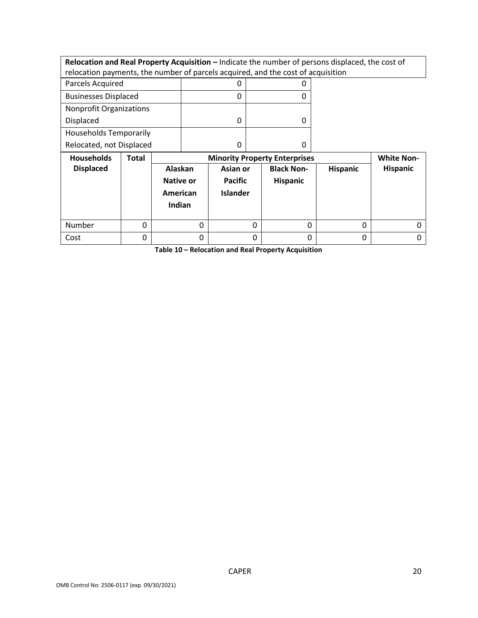| Relocation and Real Property Acquisition - Indicate the number of persons displaced, the cost of |                                                                                  |               |   |                 |   |                                      |                 |                   |
|--------------------------------------------------------------------------------------------------|----------------------------------------------------------------------------------|---------------|---|-----------------|---|--------------------------------------|-----------------|-------------------|
|                                                                                                  | relocation payments, the number of parcels acquired, and the cost of acquisition |               |   |                 |   |                                      |                 |                   |
|                                                                                                  | Parcels Acquired                                                                 |               |   | 0               |   | 0                                    |                 |                   |
| <b>Businesses Displaced</b>                                                                      |                                                                                  |               |   | 0               |   | 0                                    |                 |                   |
| <b>Nonprofit Organizations</b>                                                                   |                                                                                  |               |   |                 |   |                                      |                 |                   |
| Displaced                                                                                        |                                                                                  |               |   | 0               |   | 0                                    |                 |                   |
| <b>Households Temporarily</b>                                                                    |                                                                                  |               |   |                 |   |                                      |                 |                   |
| Relocated, not Displaced                                                                         |                                                                                  |               | 0 |                 | 0 |                                      |                 |                   |
|                                                                                                  |                                                                                  |               |   |                 |   |                                      |                 |                   |
| <b>Households</b>                                                                                | Total                                                                            |               |   |                 |   | <b>Minority Property Enterprises</b> |                 | <b>White Non-</b> |
| <b>Displaced</b>                                                                                 |                                                                                  | Alaskan       |   | Asian or        |   | <b>Black Non-</b>                    | <b>Hispanic</b> | <b>Hispanic</b>   |
|                                                                                                  |                                                                                  | Native or     |   | <b>Pacific</b>  |   | Hispanic                             |                 |                   |
|                                                                                                  |                                                                                  | American      |   | <b>Islander</b> |   |                                      |                 |                   |
|                                                                                                  |                                                                                  | <b>Indian</b> |   |                 |   |                                      |                 |                   |
|                                                                                                  |                                                                                  |               |   |                 |   |                                      |                 |                   |
| Number                                                                                           | 0                                                                                |               | 0 |                 | 0 | 0                                    | 0               | 0                 |

**Table 10 – Relocation and Real Property Acquisition**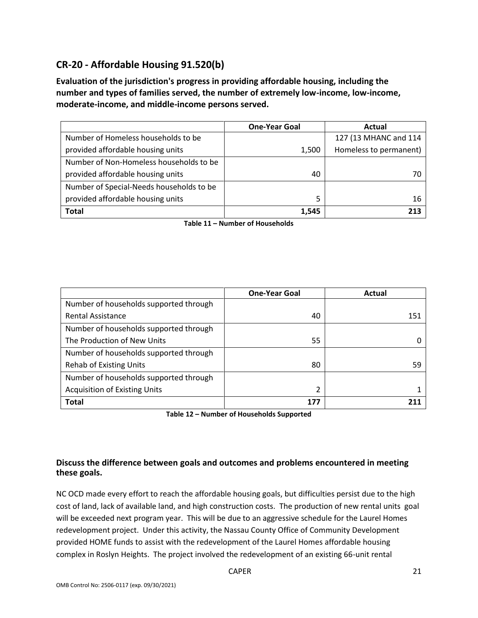## **CR-20 - Affordable Housing 91.520(b)**

**Evaluation of the jurisdiction's progress in providing affordable housing, including the number and types of families served, the number of extremely low-income, low-income, moderate-income, and middle-income persons served.**

|                                          | <b>One-Year Goal</b> | Actual                 |
|------------------------------------------|----------------------|------------------------|
| Number of Homeless households to be      |                      | 127 (13 MHANC and 114  |
| provided affordable housing units        | 1,500                | Homeless to permanent) |
| Number of Non-Homeless households to be  |                      |                        |
| provided affordable housing units        | 40                   |                        |
| Number of Special-Needs households to be |                      |                        |
| provided affordable housing units        | 5                    | 16                     |
| <b>Total</b>                             | 1,545                | 213                    |

| Table 11 – Number of Households |  |
|---------------------------------|--|
|---------------------------------|--|

|                                        | <b>One-Year Goal</b> | Actual |
|----------------------------------------|----------------------|--------|
| Number of households supported through |                      |        |
| <b>Rental Assistance</b>               | 40                   | 151    |
| Number of households supported through |                      |        |
| The Production of New Units            | 55                   |        |
| Number of households supported through |                      |        |
| <b>Rehab of Existing Units</b>         | 80                   | 59     |
| Number of households supported through |                      |        |
| <b>Acquisition of Existing Units</b>   | 2                    |        |
| <b>Total</b>                           | 177                  | 211    |

**Table 12 – Number of Households Supported**

#### **Discuss the difference between goals and outcomes and problems encountered in meeting these goals.**

NC OCD made every effort to reach the affordable housing goals, but difficulties persist due to the high cost of land, lack of available land, and high construction costs. The production of new rental units goal will be exceeded next program year. This will be due to an aggressive schedule for the Laurel Homes redevelopment project. Under this activity, the Nassau County Office of Community Development provided HOME funds to assist with the redevelopment of the Laurel Homes affordable housing complex in Roslyn Heights. The project involved the redevelopment of an existing 66-unit rental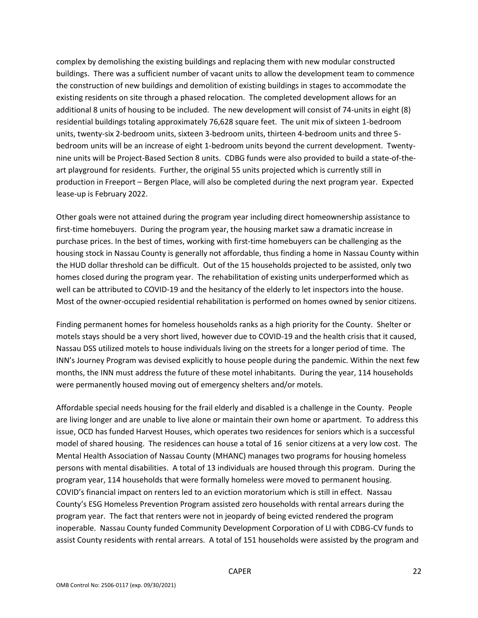complex by demolishing the existing buildings and replacing them with new modular constructed buildings. There was a sufficient number of vacant units to allow the development team to commence the construction of new buildings and demolition of existing buildings in stages to accommodate the existing residents on site through a phased relocation. The completed development allows for an additional 8 units of housing to be included. The new development will consist of 74-units in eight (8) residential buildings totaling approximately 76,628 square feet. The unit mix of sixteen 1-bedroom units, twenty-six 2-bedroom units, sixteen 3-bedroom units, thirteen 4-bedroom units and three 5 bedroom units will be an increase of eight 1-bedroom units beyond the current development. Twentynine units will be Project-Based Section 8 units. CDBG funds were also provided to build a state-of-theart playground for residents. Further, the original 55 units projected which is currently still in production in Freeport – Bergen Place, will also be completed during the next program year. Expected lease-up is February 2022.

Other goals were not attained during the program year including direct homeownership assistance to first-time homebuyers. During the program year, the housing market saw a dramatic increase in purchase prices. In the best of times, working with first-time homebuyers can be challenging as the housing stock in Nassau County is generally not affordable, thus finding a home in Nassau County within the HUD dollar threshold can be difficult. Out of the 15 households projected to be assisted, only two homes closed during the program year. The rehabilitation of existing units underperformed which as well can be attributed to COVID-19 and the hesitancy of the elderly to let inspectors into the house. Most of the owner-occupied residential rehabilitation is performed on homes owned by senior citizens.

Finding permanent homes for homeless households ranks as a high priority for the County. Shelter or motels stays should be a very short lived, however due to COVID-19 and the health crisis that it caused, Nassau DSS utilized motels to house individuals living on the streets for a longer period of time. The INN's Journey Program was devised explicitly to house people during the pandemic. Within the next few months, the INN must address the future of these motel inhabitants. During the year, 114 households were permanently housed moving out of emergency shelters and/or motels.

Affordable special needs housing for the frail elderly and disabled is a challenge in the County. People are living longer and are unable to live alone or maintain their own home or apartment. To address this issue, OCD has funded Harvest Houses, which operates two residences for seniors which is a successful model of shared housing. The residences can house a total of 16 senior citizens at a very low cost. The Mental Health Association of Nassau County (MHANC) manages two programs for housing homeless persons with mental disabilities. A total of 13 individuals are housed through this program. During the program year, 114 households that were formally homeless were moved to permanent housing. COVID's financial impact on renters led to an eviction moratorium which is still in effect. Nassau County's ESG Homeless Prevention Program assisted zero households with rental arrears during the program year. The fact that renters were not in jeopardy of being evicted rendered the program inoperable. Nassau County funded Community Development Corporation of LI with CDBG-CV funds to assist County residents with rental arrears. A total of 151 households were assisted by the program and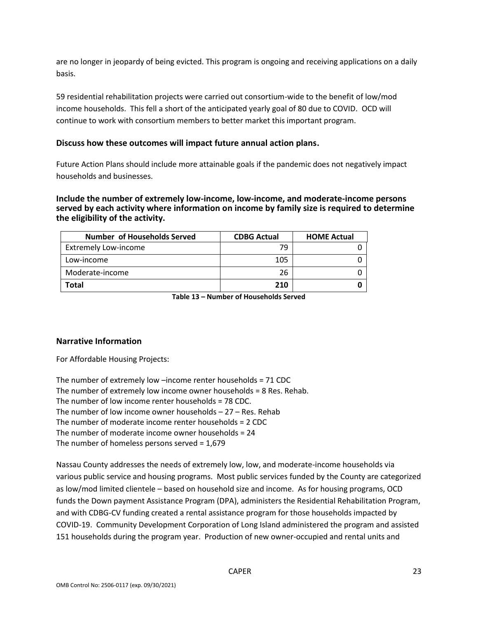are no longer in jeopardy of being evicted. This program is ongoing and receiving applications on a daily basis.

59 residential rehabilitation projects were carried out consortium-wide to the benefit of low/mod income households. This fell a short of the anticipated yearly goal of 80 due to COVID. OCD will continue to work with consortium members to better market this important program.

#### **Discuss how these outcomes will impact future annual action plans.**

Future Action Plans should include more attainable goals if the pandemic does not negatively impact households and businesses.

**Include the number of extremely low-income, low-income, and moderate-income persons served by each activity where information on income by family size is required to determine the eligibility of the activity.**

| <b>Number of Households Served</b> | <b>CDBG Actual</b> | <b>HOME Actual</b> |
|------------------------------------|--------------------|--------------------|
| <b>Extremely Low-income</b>        | 79                 |                    |
| Low-income                         | 105                |                    |
| Moderate-income                    | 26                 |                    |
| Total                              | 210                |                    |

**Table 13 – Number of Households Served**

#### **Narrative Information**

For Affordable Housing Projects:

The number of extremely low –income renter households = 71 CDC The number of extremely low income owner households = 8 Res. Rehab. The number of low income renter households = 78 CDC. The number of low income owner households – 27 – Res. Rehab The number of moderate income renter households = 2 CDC The number of moderate income owner households = 24 The number of homeless persons served = 1,679

Nassau County addresses the needs of extremely low, low, and moderate-income households via various public service and housing programs. Most public services funded by the County are categorized as low/mod limited clientele – based on household size and income. As for housing programs, OCD funds the Down payment Assistance Program (DPA), administers the Residential Rehabilitation Program, and with CDBG-CV funding created a rental assistance program for those households impacted by COVID-19. Community Development Corporation of Long Island administered the program and assisted 151 households during the program year. Production of new owner-occupied and rental units and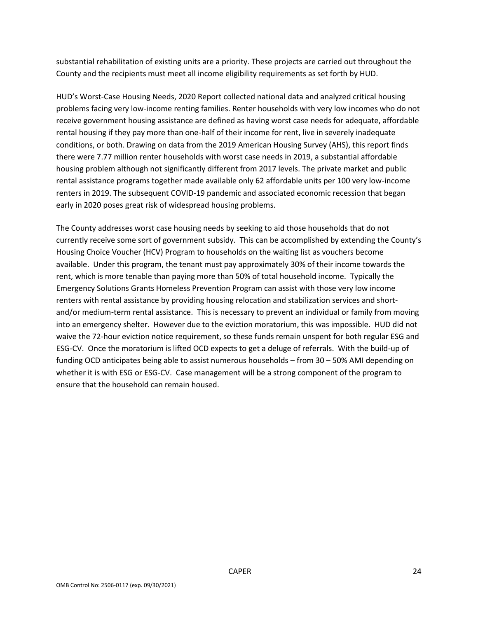substantial rehabilitation of existing units are a priority. These projects are carried out throughout the County and the recipients must meet all income eligibility requirements as set forth by HUD.

HUD's Worst-Case Housing Needs, 2020 Report collected national data and analyzed critical housing problems facing very low-income renting families. Renter households with very low incomes who do not receive government housing assistance are defined as having worst case needs for adequate, affordable rental housing if they pay more than one-half of their income for rent, live in severely inadequate conditions, or both. Drawing on data from the 2019 American Housing Survey (AHS), this report finds there were 7.77 million renter households with worst case needs in 2019, a substantial affordable housing problem although not significantly different from 2017 levels. The private market and public rental assistance programs together made available only 62 affordable units per 100 very low-income renters in 2019. The subsequent COVID-19 pandemic and associated economic recession that began early in 2020 poses great risk of widespread housing problems.

The County addresses worst case housing needs by seeking to aid those households that do not currently receive some sort of government subsidy. This can be accomplished by extending the County's Housing Choice Voucher (HCV) Program to households on the waiting list as vouchers become available. Under this program, the tenant must pay approximately 30% of their income towards the rent, which is more tenable than paying more than 50% of total household income. Typically the Emergency Solutions Grants Homeless Prevention Program can assist with those very low income renters with rental assistance by providing housing relocation and stabilization services and shortand/or medium-term rental assistance. This is necessary to prevent an individual or family from moving into an emergency shelter. However due to the eviction moratorium, this was impossible. HUD did not waive the 72-hour eviction notice requirement, so these funds remain unspent for both regular ESG and ESG-CV. Once the moratorium is lifted OCD expects to get a deluge of referrals. With the build-up of funding OCD anticipates being able to assist numerous households – from 30 – 50% AMI depending on whether it is with ESG or ESG-CV. Case management will be a strong component of the program to ensure that the household can remain housed.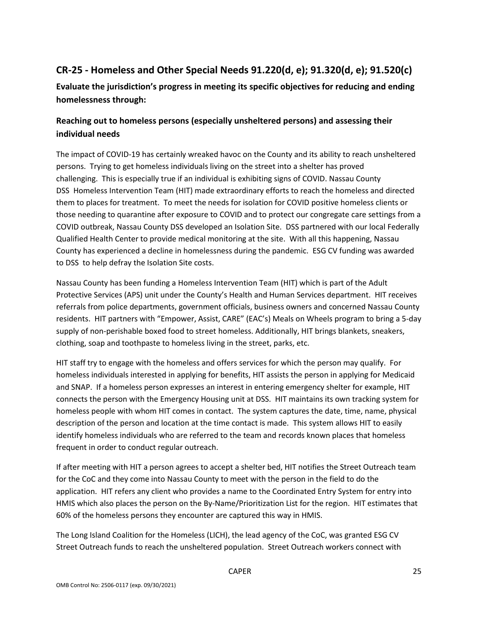## **CR-25 - Homeless and Other Special Needs 91.220(d, e); 91.320(d, e); 91.520(c)**

**Evaluate the jurisdiction's progress in meeting its specific objectives for reducing and ending homelessness through:**

## **Reaching out to homeless persons (especially unsheltered persons) and assessing their individual needs**

The impact of COVID-19 has certainly wreaked havoc on the County and its ability to reach unsheltered persons. Trying to get homeless individuals living on the street into a shelter has proved challenging. This is especially true if an individual is exhibiting signs of COVID. Nassau County DSS Homeless Intervention Team (HIT) made extraordinary efforts to reach the homeless and directed them to places for treatment. To meet the needs for isolation for COVID positive homeless clients or those needing to quarantine after exposure to COVID and to protect our congregate care settings from a COVID outbreak, Nassau County DSS developed an Isolation Site. DSS partnered with our local Federally Qualified Health Center to provide medical monitoring at the site. With all this happening, Nassau County has experienced a decline in homelessness during the pandemic. ESG CV funding was awarded to DSS to help defray the Isolation Site costs.

Nassau County has been funding a Homeless Intervention Team (HIT) which is part of the Adult Protective Services (APS) unit under the County's Health and Human Services department. HIT receives referrals from police departments, government officials, business owners and concerned Nassau County residents. HIT partners with "Empower, Assist, CARE" (EAC's) Meals on Wheels program to bring a 5-day supply of non-perishable boxed food to street homeless. Additionally, HIT brings blankets, sneakers, clothing, soap and toothpaste to homeless living in the street, parks, etc.

HIT staff try to engage with the homeless and offers services for which the person may qualify. For homeless individuals interested in applying for benefits, HIT assists the person in applying for Medicaid and SNAP. If a homeless person expresses an interest in entering emergency shelter for example, HIT connects the person with the Emergency Housing unit at DSS. HIT maintains its own tracking system for homeless people with whom HIT comes in contact. The system captures the date, time, name, physical description of the person and location at the time contact is made. This system allows HIT to easily identify homeless individuals who are referred to the team and records known places that homeless frequent in order to conduct regular outreach.

If after meeting with HIT a person agrees to accept a shelter bed, HIT notifies the Street Outreach team for the CoC and they come into Nassau County to meet with the person in the field to do the application. HIT refers any client who provides a name to the Coordinated Entry System for entry into HMIS which also places the person on the By-Name/Prioritization List for the region. HIT estimates that 60% of the homeless persons they encounter are captured this way in HMIS.

The Long Island Coalition for the Homeless (LICH), the lead agency of the CoC, was granted ESG CV Street Outreach funds to reach the unsheltered population. Street Outreach workers connect with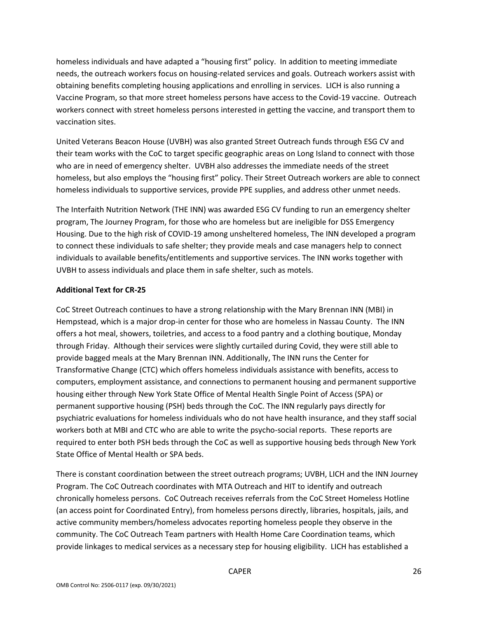homeless individuals and have adapted a "housing first" policy. In addition to meeting immediate needs, the outreach workers focus on housing-related services and goals. Outreach workers assist with obtaining benefits completing housing applications and enrolling in services. LICH is also running a Vaccine Program, so that more street homeless persons have access to the Covid-19 vaccine. Outreach workers connect with street homeless persons interested in getting the vaccine, and transport them to vaccination sites.

United Veterans Beacon House (UVBH) was also granted Street Outreach funds through ESG CV and their team works with the CoC to target specific geographic areas on Long Island to connect with those who are in need of emergency shelter. UVBH also addresses the immediate needs of the street homeless, but also employs the "housing first" policy. Their Street Outreach workers are able to connect homeless individuals to supportive services, provide PPE supplies, and address other unmet needs.

The Interfaith Nutrition Network (THE INN) was awarded ESG CV funding to run an emergency shelter program, The Journey Program, for those who are homeless but are ineligible for DSS Emergency Housing. Due to the high risk of COVID-19 among unsheltered homeless, The INN developed a program to connect these individuals to safe shelter; they provide meals and case managers help to connect individuals to available benefits/entitlements and supportive services. The INN works together with UVBH to assess individuals and place them in safe shelter, such as motels.

#### **Additional Text for CR-25**

CoC Street Outreach continues to have a strong relationship with the Mary Brennan INN (MBI) in Hempstead, which is a major drop-in center for those who are homeless in Nassau County. The INN offers a hot meal, showers, toiletries, and access to a food pantry and a clothing boutique, Monday through Friday. Although their services were slightly curtailed during Covid, they were still able to provide bagged meals at the Mary Brennan INN. Additionally, The INN runs the Center for Transformative Change (CTC) which offers homeless individuals assistance with benefits, access to computers, employment assistance, and connections to permanent housing and permanent supportive housing either through New York State Office of Mental Health Single Point of Access (SPA) or permanent supportive housing (PSH) beds through the CoC. The INN regularly pays directly for psychiatric evaluations for homeless individuals who do not have health insurance, and they staff social workers both at MBI and CTC who are able to write the psycho-social reports. These reports are required to enter both PSH beds through the CoC as well as supportive housing beds through New York State Office of Mental Health or SPA beds.

There is constant coordination between the street outreach programs; UVBH, LICH and the INN Journey Program. The CoC Outreach coordinates with MTA Outreach and HIT to identify and outreach chronically homeless persons. CoC Outreach receives referrals from the CoC Street Homeless Hotline (an access point for Coordinated Entry), from homeless persons directly, libraries, hospitals, jails, and active community members/homeless advocates reporting homeless people they observe in the community. The CoC Outreach Team partners with Health Home Care Coordination teams, which provide linkages to medical services as a necessary step for housing eligibility. LICH has established a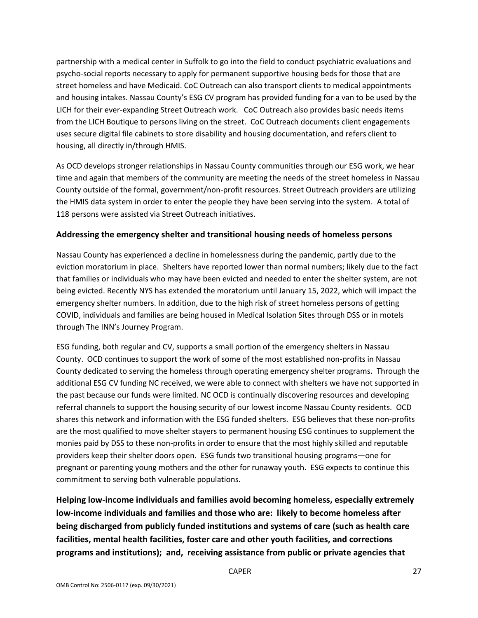partnership with a medical center in Suffolk to go into the field to conduct psychiatric evaluations and psycho-social reports necessary to apply for permanent supportive housing beds for those that are street homeless and have Medicaid. CoC Outreach can also transport clients to medical appointments and housing intakes. Nassau County's ESG CV program has provided funding for a van to be used by the LICH for their ever-expanding Street Outreach work. CoC Outreach also provides basic needs items from the LICH Boutique to persons living on the street. CoC Outreach documents client engagements uses secure digital file cabinets to store disability and housing documentation, and refers client to housing, all directly in/through HMIS.

As OCD develops stronger relationships in Nassau County communities through our ESG work, we hear time and again that members of the community are meeting the needs of the street homeless in Nassau County outside of the formal, government/non-profit resources. Street Outreach providers are utilizing the HMIS data system in order to enter the people they have been serving into the system. A total of 118 persons were assisted via Street Outreach initiatives.

#### **Addressing the emergency shelter and transitional housing needs of homeless persons**

Nassau County has experienced a decline in homelessness during the pandemic, partly due to the eviction moratorium in place. Shelters have reported lower than normal numbers; likely due to the fact that families or individuals who may have been evicted and needed to enter the shelter system, are not being evicted. Recently NYS has extended the moratorium until January 15, 2022, which will impact the emergency shelter numbers. In addition, due to the high risk of street homeless persons of getting COVID, individuals and families are being housed in Medical Isolation Sites through DSS or in motels through The INN's Journey Program.

ESG funding, both regular and CV, supports a small portion of the emergency shelters in Nassau County. OCD continues to support the work of some of the most established non-profits in Nassau County dedicated to serving the homeless through operating emergency shelter programs. Through the additional ESG CV funding NC received, we were able to connect with shelters we have not supported in the past because our funds were limited. NC OCD is continually discovering resources and developing referral channels to support the housing security of our lowest income Nassau County residents. OCD shares this network and information with the ESG funded shelters. ESG believes that these non-profits are the most qualified to move shelter stayers to permanent housing ESG continues to supplement the monies paid by DSS to these non-profits in order to ensure that the most highly skilled and reputable providers keep their shelter doors open. ESG funds two transitional housing programs—one for pregnant or parenting young mothers and the other for runaway youth. ESG expects to continue this commitment to serving both vulnerable populations.

**Helping low-income individuals and families avoid becoming homeless, especially extremely low-income individuals and families and those who are: likely to become homeless after being discharged from publicly funded institutions and systems of care (such as health care facilities, mental health facilities, foster care and other youth facilities, and corrections programs and institutions); and, receiving assistance from public or private agencies that**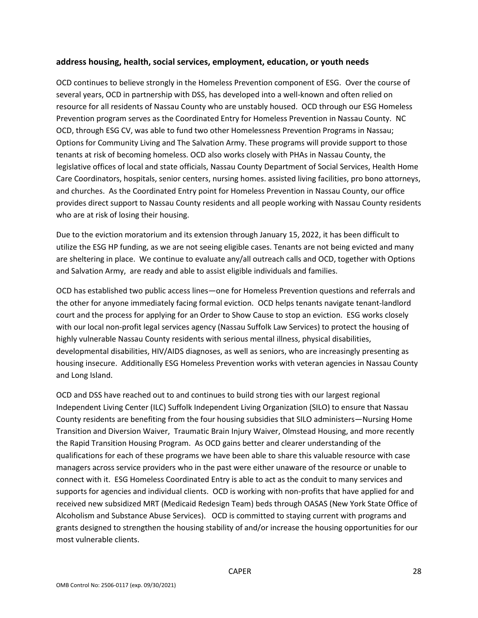#### **address housing, health, social services, employment, education, or youth needs**

OCD continues to believe strongly in the Homeless Prevention component of ESG. Over the course of several years, OCD in partnership with DSS, has developed into a well-known and often relied on resource for all residents of Nassau County who are unstably housed. OCD through our ESG Homeless Prevention program serves as the Coordinated Entry for Homeless Prevention in Nassau County. NC OCD, through ESG CV, was able to fund two other Homelessness Prevention Programs in Nassau; Options for Community Living and The Salvation Army. These programs will provide support to those tenants at risk of becoming homeless. OCD also works closely with PHAs in Nassau County, the legislative offices of local and state officials, Nassau County Department of Social Services, Health Home Care Coordinators, hospitals, senior centers, nursing homes. assisted living facilities, pro bono attorneys, and churches. As the Coordinated Entry point for Homeless Prevention in Nassau County, our office provides direct support to Nassau County residents and all people working with Nassau County residents who are at risk of losing their housing.

Due to the eviction moratorium and its extension through January 15, 2022, it has been difficult to utilize the ESG HP funding, as we are not seeing eligible cases. Tenants are not being evicted and many are sheltering in place. We continue to evaluate any/all outreach calls and OCD, together with Options and Salvation Army, are ready and able to assist eligible individuals and families.

OCD has established two public access lines—one for Homeless Prevention questions and referrals and the other for anyone immediately facing formal eviction. OCD helps tenants navigate tenant-landlord court and the process for applying for an Order to Show Cause to stop an eviction. ESG works closely with our local non-profit legal services agency (Nassau Suffolk Law Services) to protect the housing of highly vulnerable Nassau County residents with serious mental illness, physical disabilities, developmental disabilities, HIV/AIDS diagnoses, as well as seniors, who are increasingly presenting as housing insecure. Additionally ESG Homeless Prevention works with veteran agencies in Nassau County and Long Island.

OCD and DSS have reached out to and continues to build strong ties with our largest regional Independent Living Center (ILC) Suffolk Independent Living Organization (SILO) to ensure that Nassau County residents are benefiting from the four housing subsidies that SILO administers—Nursing Home Transition and Diversion Waiver, Traumatic Brain Injury Waiver, Olmstead Housing, and more recently the Rapid Transition Housing Program. As OCD gains better and clearer understanding of the qualifications for each of these programs we have been able to share this valuable resource with case managers across service providers who in the past were either unaware of the resource or unable to connect with it. ESG Homeless Coordinated Entry is able to act as the conduit to many services and supports for agencies and individual clients. OCD is working with non-profits that have applied for and received new subsidized MRT (Medicaid Redesign Team) beds through OASAS (New York State Office of Alcoholism and Substance Abuse Services). OCD is committed to staying current with programs and grants designed to strengthen the housing stability of and/or increase the housing opportunities for our most vulnerable clients.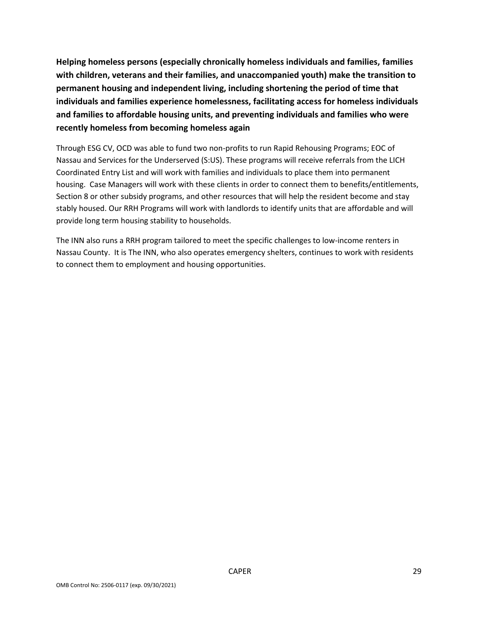**Helping homeless persons (especially chronically homeless individuals and families, families with children, veterans and their families, and unaccompanied youth) make the transition to permanent housing and independent living, including shortening the period of time that individuals and families experience homelessness, facilitating access for homeless individuals and families to affordable housing units, and preventing individuals and families who were recently homeless from becoming homeless again**

Through ESG CV, OCD was able to fund two non-profits to run Rapid Rehousing Programs; EOC of Nassau and Services for the Underserved (S:US). These programs will receive referrals from the LICH Coordinated Entry List and will work with families and individuals to place them into permanent housing. Case Managers will work with these clients in order to connect them to benefits/entitlements, Section 8 or other subsidy programs, and other resources that will help the resident become and stay stably housed. Our RRH Programs will work with landlords to identify units that are affordable and will provide long term housing stability to households.

The INN also runs a RRH program tailored to meet the specific challenges to low-income renters in Nassau County. It is The INN, who also operates emergency shelters, continues to work with residents to connect them to employment and housing opportunities.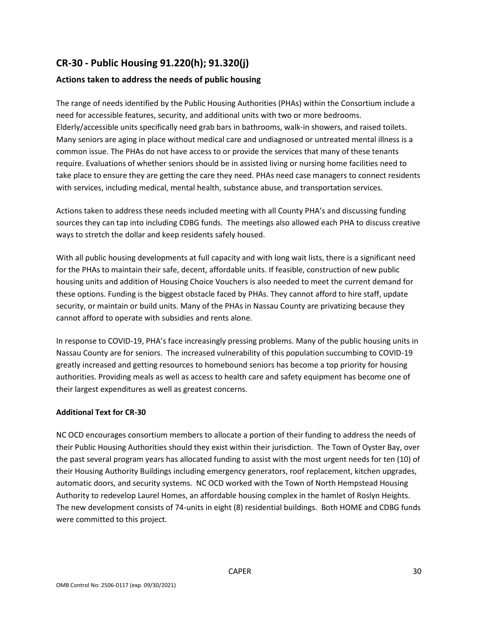## **CR-30 - Public Housing 91.220(h); 91.320(j)**

#### **Actions taken to address the needs of public housing**

The range of needs identified by the Public Housing Authorities (PHAs) within the Consortium include a need for accessible features, security, and additional units with two or more bedrooms. Elderly/accessible units specifically need grab bars in bathrooms, walk-in showers, and raised toilets. Many seniors are aging in place without medical care and undiagnosed or untreated mental illness is a common issue. The PHAs do not have access to or provide the services that many of these tenants require. Evaluations of whether seniors should be in assisted living or nursing home facilities need to take place to ensure they are getting the care they need. PHAs need case managers to connect residents with services, including medical, mental health, substance abuse, and transportation services.

Actions taken to address these needs included meeting with all County PHA's and discussing funding sources they can tap into including CDBG funds. The meetings also allowed each PHA to discuss creative ways to stretch the dollar and keep residents safely housed.

With all public housing developments at full capacity and with long wait lists, there is a significant need for the PHAs to maintain their safe, decent, affordable units. If feasible, construction of new public housing units and addition of Housing Choice Vouchers is also needed to meet the current demand for these options. Funding is the biggest obstacle faced by PHAs. They cannot afford to hire staff, update security, or maintain or build units. Many of the PHAs in Nassau County are privatizing because they cannot afford to operate with subsidies and rents alone.

In response to COVID-19, PHA's face increasingly pressing problems. Many of the public housing units in Nassau County are for seniors. The increased vulnerability of this population succumbing to COVID-19 greatly increased and getting resources to homebound seniors has become a top priority for housing authorities. Providing meals as well as access to health care and safety equipment has become one of their largest expenditures as well as greatest concerns.

#### **Additional Text for CR-30**

NC OCD encourages consortium members to allocate a portion of their funding to address the needs of their Public Housing Authorities should they exist within their jurisdiction. The Town of Oyster Bay, over the past several program years has allocated funding to assist with the most urgent needs for ten (10) of their Housing Authority Buildings including emergency generators, roof replacement, kitchen upgrades, automatic doors, and security systems. NC OCD worked with the Town of North Hempstead Housing Authority to redevelop Laurel Homes, an affordable housing complex in the hamlet of Roslyn Heights. The new development consists of 74-units in eight (8) residential buildings. Both HOME and CDBG funds were committed to this project.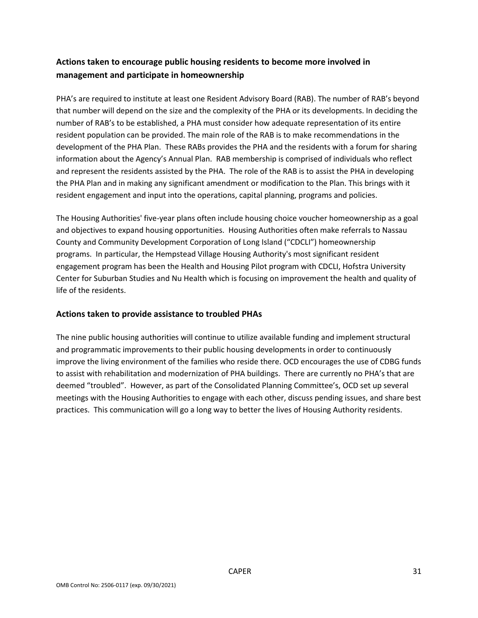## **Actions taken to encourage public housing residents to become more involved in management and participate in homeownership**

PHA's are required to institute at least one Resident Advisory Board (RAB). The number of RAB's beyond that number will depend on the size and the complexity of the PHA or its developments. In deciding the number of RAB's to be established, a PHA must consider how adequate representation of its entire resident population can be provided. The main role of the RAB is to make recommendations in the development of the PHA Plan. These RABs provides the PHA and the residents with a forum for sharing information about the Agency's Annual Plan. RAB membership is comprised of individuals who reflect and represent the residents assisted by the PHA. The role of the RAB is to assist the PHA in developing the PHA Plan and in making any significant amendment or modification to the Plan. This brings with it resident engagement and input into the operations, capital planning, programs and policies.

The Housing Authorities' five-year plans often include housing choice voucher homeownership as a goal and objectives to expand housing opportunities. Housing Authorities often make referrals to Nassau County and Community Development Corporation of Long Island ("CDCLI") homeownership programs. In particular, the Hempstead Village Housing Authority's most significant resident engagement program has been the Health and Housing Pilot program with CDCLI, Hofstra University Center for Suburban Studies and Nu Health which is focusing on improvement the health and quality of life of the residents.

#### **Actions taken to provide assistance to troubled PHAs**

The nine public housing authorities will continue to utilize available funding and implement structural and programmatic improvements to their public housing developments in order to continuously improve the living environment of the families who reside there. OCD encourages the use of CDBG funds to assist with rehabilitation and modernization of PHA buildings. There are currently no PHA's that are deemed "troubled". However, as part of the Consolidated Planning Committee's, OCD set up several meetings with the Housing Authorities to engage with each other, discuss pending issues, and share best practices. This communication will go a long way to better the lives of Housing Authority residents.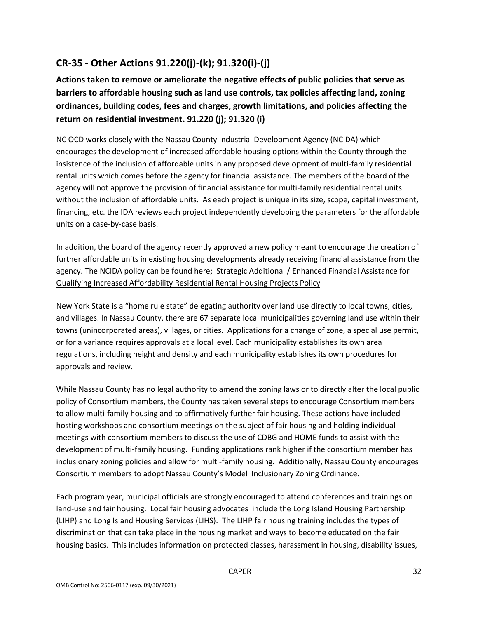## **CR-35 - Other Actions 91.220(j)-(k); 91.320(i)-(j)**

**Actions taken to remove or ameliorate the negative effects of public policies that serve as barriers to affordable housing such as land use controls, tax policies affecting land, zoning ordinances, building codes, fees and charges, growth limitations, and policies affecting the return on residential investment. 91.220 (j); 91.320 (i)**

NC OCD works closely with the Nassau County Industrial Development Agency (NCIDA) which encourages the development of increased affordable housing options within the County through the insistence of the inclusion of affordable units in any proposed development of multi-family residential rental units which comes before the agency for financial assistance. The members of the board of the agency will not approve the provision of financial assistance for multi-family residential rental units without the inclusion of affordable units. As each project is unique in its size, scope, capital investment, financing, etc. the IDA reviews each project independently developing the parameters for the affordable units on a case-by-case basis.

In addition, the board of the agency recently approved a new policy meant to encourage the creation of further affordable units in existing housing developments already receiving financial assistance from the agency. The NCIDA policy can be found here; [Strategic Additional / Enhanced Financial Assistance for](https://nassauida-assets.s3.amazonaws.com/production/documents/2021-05/Affordable-Housing-Policy.pdf)  [Qualifying Increased Affordability Residential Rental Housing Projects Policy](https://nassauida-assets.s3.amazonaws.com/production/documents/2021-05/Affordable-Housing-Policy.pdf) 

New York State is a "home rule state" delegating authority over land use directly to local towns, cities, and villages. In Nassau County, there are 67 separate local municipalities governing land use within their towns (unincorporated areas), villages, or cities. Applications for a change of zone, a special use permit, or for a variance requires approvals at a local level. Each municipality establishes its own area regulations, including height and density and each municipality establishes its own procedures for approvals and review.

While Nassau County has no legal authority to amend the zoning laws or to directly alter the local public policy of Consortium members, the County has taken several steps to encourage Consortium members to allow multi-family housing and to affirmatively further fair housing. These actions have included hosting workshops and consortium meetings on the subject of fair housing and holding individual meetings with consortium members to discuss the use of CDBG and HOME funds to assist with the development of multi-family housing. Funding applications rank higher if the consortium member has inclusionary zoning policies and allow for multi-family housing. Additionally, Nassau County encourages Consortium members to adopt Nassau County's Model Inclusionary Zoning Ordinance.

Each program year, municipal officials are strongly encouraged to attend conferences and trainings on land-use and fair housing. Local fair housing advocates include the Long Island Housing Partnership (LIHP) and Long Island Housing Services (LIHS). The LIHP fair housing training includes the types of discrimination that can take place in the housing market and ways to become educated on the fair housing basics. This includes information on protected classes, harassment in housing, disability issues,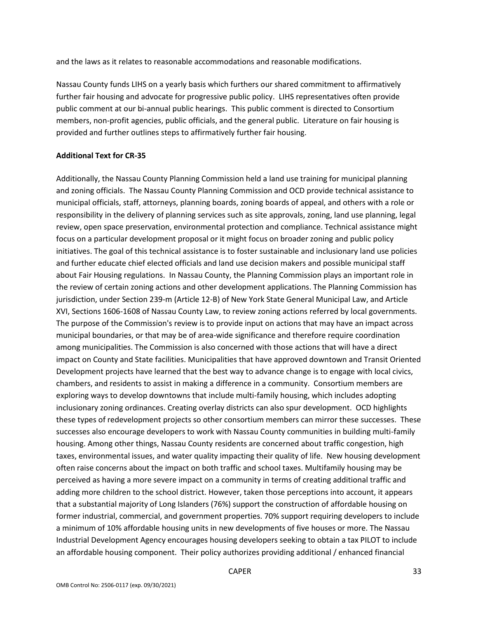and the laws as it relates to reasonable accommodations and reasonable modifications.

Nassau County funds LIHS on a yearly basis which furthers our shared commitment to affirmatively further fair housing and advocate for progressive public policy. LIHS representatives often provide public comment at our bi-annual public hearings. This public comment is directed to Consortium members, non-profit agencies, public officials, and the general public. Literature on fair housing is provided and further outlines steps to affirmatively further fair housing.

#### **Additional Text for CR-35**

Additionally, the Nassau County Planning Commission held a land use training for municipal planning and zoning officials. The Nassau County Planning Commission and OCD provide technical assistance to municipal officials, staff, attorneys, planning boards, zoning boards of appeal, and others with a role or responsibility in the delivery of planning services such as site approvals, zoning, land use planning, legal review, open space preservation, environmental protection and compliance. Technical assistance might focus on a particular development proposal or it might focus on broader zoning and public policy initiatives. The goal of this technical assistance is to foster sustainable and inclusionary land use policies and further educate chief elected officials and land use decision makers and possible municipal staff about Fair Housing regulations. In Nassau County, the Planning Commission plays an important role in the review of certain zoning actions and other development applications. The Planning Commission has jurisdiction, under Section 239-m (Article 12-B) of New York State General Municipal Law, and Article XVI, Sections 1606-1608 of Nassau County Law, to review zoning actions referred by local governments. The purpose of the Commission's review is to provide input on actions that may have an impact across municipal boundaries, or that may be of area-wide significance and therefore require coordination among municipalities. The Commission is also concerned with those actions that will have a direct impact on County and State facilities. Municipalities that have approved downtown and Transit Oriented Development projects have learned that the best way to advance change is to engage with local civics, chambers, and residents to assist in making a difference in a community. Consortium members are exploring ways to develop downtowns that include multi-family housing, which includes adopting inclusionary zoning ordinances. Creating overlay districts can also spur development. OCD highlights these types of redevelopment projects so other consortium members can mirror these successes. These successes also encourage developers to work with Nassau County communities in building multi-family housing. Among other things, Nassau County residents are concerned about traffic congestion, high taxes, environmental issues, and water quality impacting their quality of life. New housing development often raise concerns about the impact on both traffic and school taxes. Multifamily housing may be perceived as having a more severe impact on a community in terms of creating additional traffic and adding more children to the school district. However, taken those perceptions into account, it appears that a substantial majority of Long Islanders (76%) support the construction of affordable housing on former industrial, commercial, and government properties. 70% support requiring developers to include a minimum of 10% affordable housing units in new developments of five houses or more. The Nassau Industrial Development Agency encourages housing developers seeking to obtain a tax PILOT to include an affordable housing component. Their policy authorizes providing additional / enhanced financial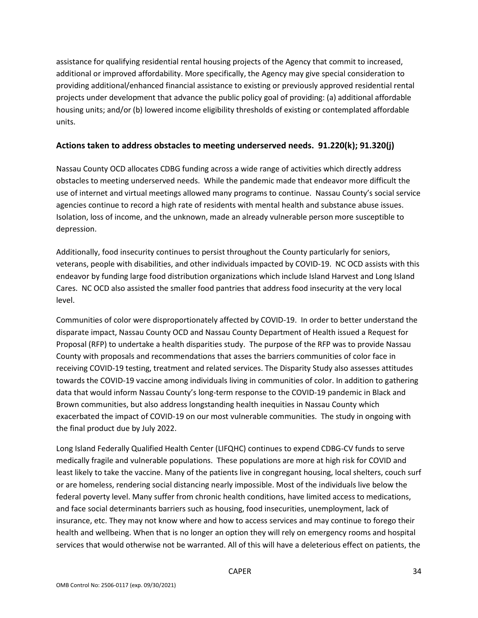assistance for qualifying residential rental housing projects of the Agency that commit to increased, additional or improved affordability. More specifically, the Agency may give special consideration to providing additional/enhanced financial assistance to existing or previously approved residential rental projects under development that advance the public policy goal of providing: (a) additional affordable housing units; and/or (b) lowered income eligibility thresholds of existing or contemplated affordable units.

#### **Actions taken to address obstacles to meeting underserved needs. 91.220(k); 91.320(j)**

Nassau County OCD allocates CDBG funding across a wide range of activities which directly address obstacles to meeting underserved needs. While the pandemic made that endeavor more difficult the use of internet and virtual meetings allowed many programs to continue. Nassau County's social service agencies continue to record a high rate of residents with mental health and substance abuse issues. Isolation, loss of income, and the unknown, made an already vulnerable person more susceptible to depression.

Additionally, food insecurity continues to persist throughout the County particularly for seniors, veterans, people with disabilities, and other individuals impacted by COVID-19. NC OCD assists with this endeavor by funding large food distribution organizations which include Island Harvest and Long Island Cares. NC OCD also assisted the smaller food pantries that address food insecurity at the very local level.

Communities of color were disproportionately affected by COVID-19. In order to better understand the disparate impact, Nassau County OCD and Nassau County Department of Health issued a Request for Proposal (RFP) to undertake a health disparities study. The purpose of the RFP was to provide Nassau County with proposals and recommendations that asses the barriers communities of color face in receiving COVID-19 testing, treatment and related services. The Disparity Study also assesses attitudes towards the COVID-19 vaccine among individuals living in communities of color. In addition to gathering data that would inform Nassau County's long-term response to the COVID-19 pandemic in Black and Brown communities, but also address longstanding health inequities in Nassau County which exacerbated the impact of COVID-19 on our most vulnerable communities. The study in ongoing with the final product due by July 2022.

Long Island Federally Qualified Health Center (LIFQHC) continues to expend CDBG-CV funds to serve medically fragile and vulnerable populations. These populations are more at high risk for COVID and least likely to take the vaccine. Many of the patients live in congregant housing, local shelters, couch surf or are homeless, rendering social distancing nearly impossible. Most of the individuals live below the federal poverty level. Many suffer from chronic health conditions, have limited access to medications, and face social determinants barriers such as housing, food insecurities, unemployment, lack of insurance, etc. They may not know where and how to access services and may continue to forego their health and wellbeing. When that is no longer an option they will rely on emergency rooms and hospital services that would otherwise not be warranted. All of this will have a deleterious effect on patients, the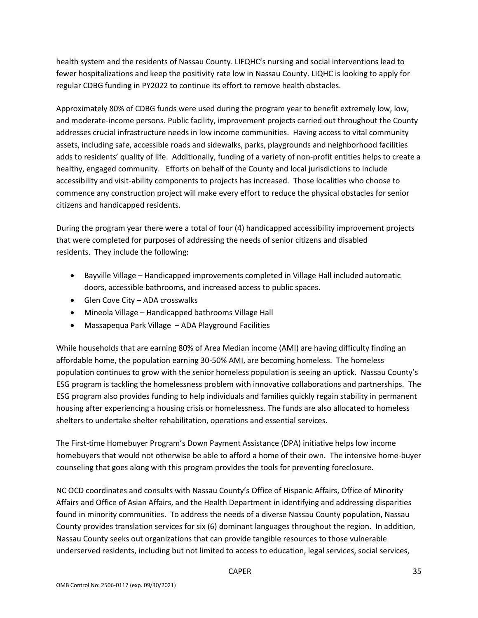health system and the residents of Nassau County. LIFQHC's nursing and social interventions lead to fewer hospitalizations and keep the positivity rate low in Nassau County. LIQHC is looking to apply for regular CDBG funding in PY2022 to continue its effort to remove health obstacles.

Approximately 80% of CDBG funds were used during the program year to benefit extremely low, low, and moderate-income persons. Public facility, improvement projects carried out throughout the County addresses crucial infrastructure needs in low income communities. Having access to vital community assets, including safe, accessible roads and sidewalks, parks, playgrounds and neighborhood facilities adds to residents' quality of life. Additionally, funding of a variety of non-profit entities helps to create a healthy, engaged community. Efforts on behalf of the County and local jurisdictions to include accessibility and visit-ability components to projects has increased. Those localities who choose to commence any construction project will make every effort to reduce the physical obstacles for senior citizens and handicapped residents.

During the program year there were a total of four (4) handicapped accessibility improvement projects that were completed for purposes of addressing the needs of senior citizens and disabled residents. They include the following:

- Bayville Village Handicapped improvements completed in Village Hall included automatic doors, accessible bathrooms, and increased access to public spaces.
- Glen Cove City ADA crosswalks
- Mineola Village Handicapped bathrooms Village Hall
- Massapequa Park Village ADA Playground Facilities

While households that are earning 80% of Area Median income (AMI) are having difficulty finding an affordable home, the population earning 30-50% AMI, are becoming homeless. The homeless population continues to grow with the senior homeless population is seeing an uptick. Nassau County's ESG program is tackling the homelessness problem with innovative collaborations and partnerships. The ESG program also provides funding to help individuals and families quickly regain stability in permanent housing after experiencing a housing crisis or homelessness. The funds are also allocated to homeless shelters to undertake shelter rehabilitation, operations and essential services.

The First-time Homebuyer Program's Down Payment Assistance (DPA) initiative helps low income homebuyers that would not otherwise be able to afford a home of their own. The intensive home-buyer counseling that goes along with this program provides the tools for preventing foreclosure.

NC OCD coordinates and consults with Nassau County's Office of Hispanic Affairs, Office of Minority Affairs and Office of Asian Affairs, and the Health Department in identifying and addressing disparities found in minority communities. To address the needs of a diverse Nassau County population, Nassau County provides translation services for six (6) dominant languages throughout the region. In addition, Nassau County seeks out organizations that can provide tangible resources to those vulnerable underserved residents, including but not limited to access to education, legal services, social services,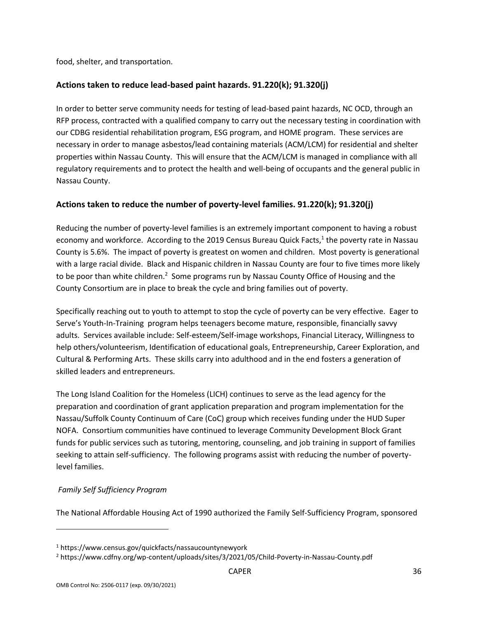food, shelter, and transportation.

#### **Actions taken to reduce lead-based paint hazards. 91.220(k); 91.320(j)**

In order to better serve community needs for testing of lead-based paint hazards, NC OCD, through an RFP process, contracted with a qualified company to carry out the necessary testing in coordination with our CDBG residential rehabilitation program, ESG program, and HOME program. These services are necessary in order to manage asbestos/lead containing materials (ACM/LCM) for residential and shelter properties within Nassau County. This will ensure that the ACM/LCM is managed in compliance with all regulatory requirements and to protect the health and well-being of occupants and the general public in Nassau County.

#### **Actions taken to reduce the number of poverty-level families. 91.220(k); 91.320(j)**

Reducing the number of poverty-level families is an extremely important component to having a robust economy and workforce. According to the 2019 Census Bureau Quick Facts,<sup>1</sup> the poverty rate in Nassau County is 5.6%. The impact of poverty is greatest on women and children. Most poverty is generational with a large racial divide. Black and Hispanic children in Nassau County are four to five times more likely to be poor than white children.<sup>2</sup> Some programs run by Nassau County Office of Housing and the County Consortium are in place to break the cycle and bring families out of poverty.

Specifically reaching out to youth to attempt to stop the cycle of poverty can be very effective. Eager to Serve's Youth-In-Training program helps teenagers become mature, responsible, financially savvy adults. Services available include: Self-esteem/Self-image workshops, Financial Literacy, Willingness to help others/volunteerism, Identification of educational goals, Entrepreneurship, Career Exploration, and Cultural & Performing Arts. These skills carry into adulthood and in the end fosters a generation of skilled leaders and entrepreneurs.

The Long Island Coalition for the Homeless (LICH) continues to serve as the lead agency for the preparation and coordination of grant application preparation and program implementation for the Nassau/Suffolk County Continuum of Care (CoC) group which receives funding under the HUD Super NOFA. Consortium communities have continued to leverage Community Development Block Grant funds for public services such as tutoring, mentoring, counseling, and job training in support of families seeking to attain self-sufficiency. The following programs assist with reducing the number of povertylevel families.

#### *Family Self Sufficiency Program*

The National Affordable Housing Act of 1990 authorized the Family Self-Sufficiency Program, sponsored

<sup>1</sup> https://www.census.gov/quickfacts/nassaucountynewyork

<sup>2</sup> https://www.cdfny.org/wp-content/uploads/sites/3/2021/05/Child-Poverty-in-Nassau-County.pdf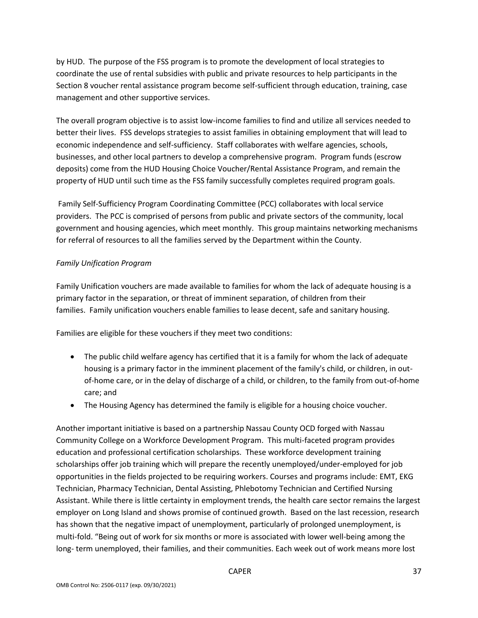by HUD. The purpose of the FSS program is to promote the development of local strategies to coordinate the use of rental subsidies with public and private resources to help participants in the Section 8 voucher rental assistance program become self-sufficient through education, training, case management and other supportive services.

The overall program objective is to assist low-income families to find and utilize all services needed to better their lives. FSS develops strategies to assist families in obtaining employment that will lead to economic independence and self-sufficiency. Staff collaborates with welfare agencies, schools, businesses, and other local partners to develop a comprehensive program. Program funds (escrow deposits) come from the HUD Housing Choice Voucher/Rental Assistance Program, and remain the property of HUD until such time as the FSS family successfully completes required program goals.

Family Self-Sufficiency Program Coordinating Committee (PCC) collaborates with local service providers. The PCC is comprised of persons from public and private sectors of the community, local government and housing agencies, which meet monthly. This group maintains networking mechanisms for referral of resources to all the families served by the Department within the County.

#### *Family Unification Program*

Family Unification vouchers are made available to families for whom the lack of adequate housing is a primary factor in the separation, or threat of imminent separation, of children from their families. Family unification vouchers enable families to lease decent, safe and sanitary housing.

Families are eligible for these vouchers if they meet two conditions:

- The public child welfare agency has certified that it is a family for whom the lack of adequate housing is a primary factor in the imminent placement of the family's child, or children, in outof-home care, or in the delay of discharge of a child, or children, to the family from out-of-home care; and
- The Housing Agency has determined the family is eligible for a housing choice voucher.

Another important initiative is based on a partnership Nassau County OCD forged with Nassau Community College on a Workforce Development Program. This multi-faceted program provides education and professional certification scholarships. These workforce development training scholarships offer job training which will prepare the recently unemployed/under-employed for job opportunities in the fields projected to be requiring workers. Courses and programs include: EMT, EKG Technician, Pharmacy Technician, Dental Assisting, Phlebotomy Technician and Certified Nursing Assistant. While there is little certainty in employment trends, the health care sector remains the largest employer on Long Island and shows promise of continued growth. Based on the last recession, research has shown that the negative impact of unemployment, particularly of prolonged unemployment, is multi-fold. "Being out of work for six months or more is associated with lower well-being among the long- term unemployed, their families, and their communities. Each week out of work means more lost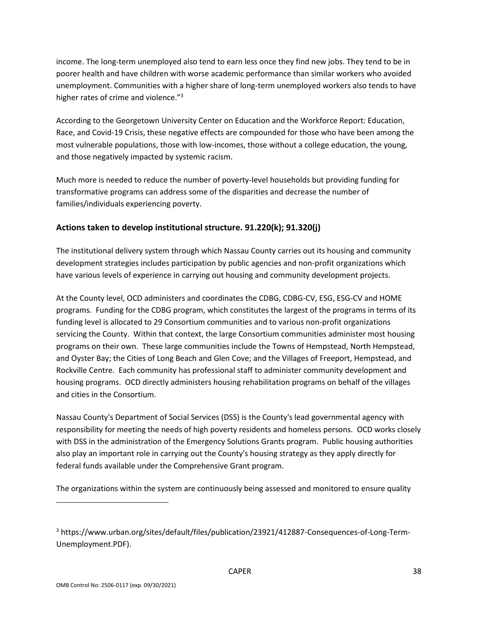income. The long-term unemployed also tend to earn less once they find new jobs. They tend to be in poorer health and have children with worse academic performance than similar workers who avoided unemployment. Communities with a higher share of long-term unemployed workers also tends to have higher rates of crime and violence."<sup>3</sup>

According to the Georgetown University Center on Education and the Workforce Report: Education, Race, and Covid-19 Crisis, these negative effects are compounded for those who have been among the most vulnerable populations, those with low-incomes, those without a college education, the young, and those negatively impacted by systemic racism.

Much more is needed to reduce the number of poverty-level households but providing funding for transformative programs can address some of the disparities and decrease the number of families/individuals experiencing poverty.

#### **Actions taken to develop institutional structure. 91.220(k); 91.320(j)**

The institutional delivery system through which Nassau County carries out its housing and community development strategies includes participation by public agencies and non-profit organizations which have various levels of experience in carrying out housing and community development projects.

At the County level, OCD administers and coordinates the CDBG, CDBG-CV, ESG, ESG-CV and HOME programs. Funding for the CDBG program, which constitutes the largest of the programs in terms of its funding level is allocated to 29 Consortium communities and to various non-profit organizations servicing the County. Within that context, the large Consortium communities administer most housing programs on their own. These large communities include the Towns of Hempstead, North Hempstead, and Oyster Bay; the Cities of Long Beach and Glen Cove; and the Villages of Freeport, Hempstead, and Rockville Centre. Each community has professional staff to administer community development and housing programs. OCD directly administers housing rehabilitation programs on behalf of the villages and cities in the Consortium.

Nassau County's Department of Social Services (DSS) is the County's lead governmental agency with responsibility for meeting the needs of high poverty residents and homeless persons. OCD works closely with DSS in the administration of the Emergency Solutions Grants program. Public housing authorities also play an important role in carrying out the County's housing strategy as they apply directly for federal funds available under the Comprehensive Grant program.

The organizations within the system are continuously being assessed and monitored to ensure quality

<sup>3</sup> https://www.urban.org/sites/default/files/publication/23921/412887-Consequences-of-Long-Term-Unemployment.PDF).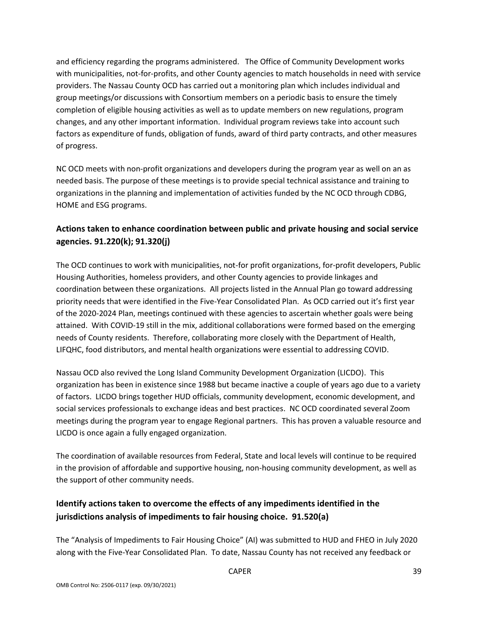and efficiency regarding the programs administered. The Office of Community Development works with municipalities, not-for-profits, and other County agencies to match households in need with service providers. The Nassau County OCD has carried out a monitoring plan which includes individual and group meetings/or discussions with Consortium members on a periodic basis to ensure the timely completion of eligible housing activities as well as to update members on new regulations, program changes, and any other important information. Individual program reviews take into account such factors as expenditure of funds, obligation of funds, award of third party contracts, and other measures of progress.

NC OCD meets with non-profit organizations and developers during the program year as well on an as needed basis. The purpose of these meetings is to provide special technical assistance and training to organizations in the planning and implementation of activities funded by the NC OCD through CDBG, HOME and ESG programs.

## **Actions taken to enhance coordination between public and private housing and social service agencies. 91.220(k); 91.320(j)**

The OCD continues to work with municipalities, not-for profit organizations, for-profit developers, Public Housing Authorities, homeless providers, and other County agencies to provide linkages and coordination between these organizations. All projects listed in the Annual Plan go toward addressing priority needs that were identified in the Five-Year Consolidated Plan. As OCD carried out it's first year of the 2020-2024 Plan, meetings continued with these agencies to ascertain whether goals were being attained. With COVID-19 still in the mix, additional collaborations were formed based on the emerging needs of County residents. Therefore, collaborating more closely with the Department of Health, LIFQHC, food distributors, and mental health organizations were essential to addressing COVID.

Nassau OCD also revived the Long Island Community Development Organization (LICDO). This organization has been in existence since 1988 but became inactive a couple of years ago due to a variety of factors. LICDO brings together HUD officials, community development, economic development, and social services professionals to exchange ideas and best practices. NC OCD coordinated several Zoom meetings during the program year to engage Regional partners. This has proven a valuable resource and LICDO is once again a fully engaged organization.

The coordination of available resources from Federal, State and local levels will continue to be required in the provision of affordable and supportive housing, non-housing community development, as well as the support of other community needs.

## **Identify actions taken to overcome the effects of any impediments identified in the jurisdictions analysis of impediments to fair housing choice. 91.520(a)**

The "Analysis of Impediments to Fair Housing Choice" (AI) was submitted to HUD and FHEO in July 2020 along with the Five-Year Consolidated Plan. To date, Nassau County has not received any feedback or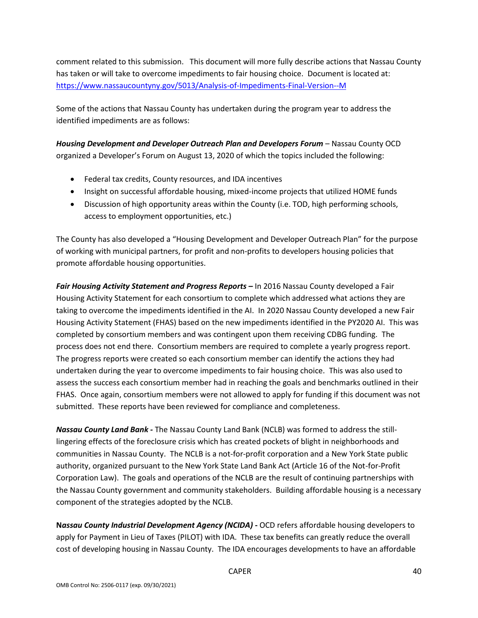comment related to this submission. This document will more fully describe actions that Nassau County has taken or will take to overcome impediments to fair housing choice. Document is located at: <https://www.nassaucountyny.gov/5013/Analysis-of-Impediments-Final-Version--M>

Some of the actions that Nassau County has undertaken during the program year to address the identified impediments are as follows:

*Housing Development and Developer Outreach Plan and Developers Forum* – Nassau County OCD organized a Developer's Forum on August 13, 2020 of which the topics included the following:

- Federal tax credits, County resources, and IDA incentives
- Insight on successful affordable housing, mixed-income projects that utilized HOME funds
- Discussion of high opportunity areas within the County (i.e. TOD, high performing schools, access to employment opportunities, etc.)

The County has also developed a "Housing Development and Developer Outreach Plan" for the purpose of working with municipal partners, for profit and non-profits to developers housing policies that promote affordable housing opportunities.

**Fair Housing Activity Statement and Progress Reports – In 2016 Nassau County developed a Fair** Housing Activity Statement for each consortium to complete which addressed what actions they are taking to overcome the impediments identified in the AI. In 2020 Nassau County developed a new Fair Housing Activity Statement (FHAS) based on the new impediments identified in the PY2020 AI. This was completed by consortium members and was contingent upon them receiving CDBG funding. The process does not end there. Consortium members are required to complete a yearly progress report. The progress reports were created so each consortium member can identify the actions they had undertaken during the year to overcome impediments to fair housing choice. This was also used to assess the success each consortium member had in reaching the goals and benchmarks outlined in their FHAS. Once again, consortium members were not allowed to apply for funding if this document was not submitted. These reports have been reviewed for compliance and completeness.

*Nassau County Land Bank -* The Nassau County Land Bank (NCLB) was formed to address the stilllingering effects of the foreclosure crisis which has created pockets of blight in neighborhoods and communities in Nassau County. The NCLB is a not-for-profit corporation and a New York State public authority, organized pursuant to the New York State Land Bank Act (Article 16 of the Not-for-Profit Corporation Law). The goals and operations of the NCLB are the result of continuing partnerships with the Nassau County government and community stakeholders. Building affordable housing is a necessary component of the strategies adopted by the NCLB.

**N***assau County Industrial Development Agency (NCIDA)* **-** OCD refers affordable housing developers to apply for Payment in Lieu of Taxes (PILOT) with IDA. These tax benefits can greatly reduce the overall cost of developing housing in Nassau County. The IDA encourages developments to have an affordable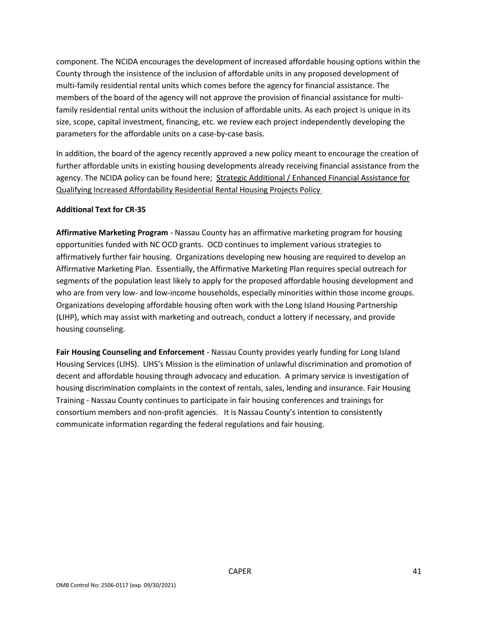component. The NCIDA encourages the development of increased affordable housing options within the County through the insistence of the inclusion of affordable units in any proposed development of multi-family residential rental units which comes before the agency for financial assistance. The members of the board of the agency will not approve the provision of financial assistance for multifamily residential rental units without the inclusion of affordable units. As each project is unique in its size, scope, capital investment, financing, etc. we review each project independently developing the parameters for the affordable units on a case-by-case basis.

In addition, the board of the agency recently approved a new policy meant to encourage the creation of further affordable units in existing housing developments already receiving financial assistance from the agency. The NCIDA policy can be found here; [Strategic Additional / Enhanced Financial Assistance for](https://nassauida-assets.s3.amazonaws.com/production/documents/2021-05/Affordable-Housing-Policy.pdf)  [Qualifying Increased Affordability Residential Rental Housing Projects Policy](https://nassauida-assets.s3.amazonaws.com/production/documents/2021-05/Affordable-Housing-Policy.pdf) 

#### **Additional Text for CR-35**

**Affirmative Marketing Program** - Nassau County has an affirmative marketing program for housing opportunities funded with NC OCD grants. OCD continues to implement various strategies to affirmatively further fair housing. Organizations developing new housing are required to develop an Affirmative Marketing Plan. Essentially, the Affirmative Marketing Plan requires special outreach for segments of the population least likely to apply for the proposed affordable housing development and who are from very low- and low-income households, especially minorities within those income groups. Organizations developing affordable housing often work with the Long Island Housing Partnership (LIHP), which may assist with marketing and outreach, conduct a lottery if necessary, and provide housing counseling.

**Fair Housing Counseling and Enforcement** - Nassau County provides yearly funding for Long Island Housing Services (LIHS). LIHS's Mission is the elimination of unlawful discrimination and promotion of decent and affordable housing through advocacy and education. A primary service is investigation of housing discrimination complaints in the context of rentals, sales, lending and insurance. Fair Housing Training - Nassau County continues to participate in fair housing conferences and trainings for consortium members and non-profit agencies. It is Nassau County's intention to consistently communicate information regarding the federal regulations and fair housing.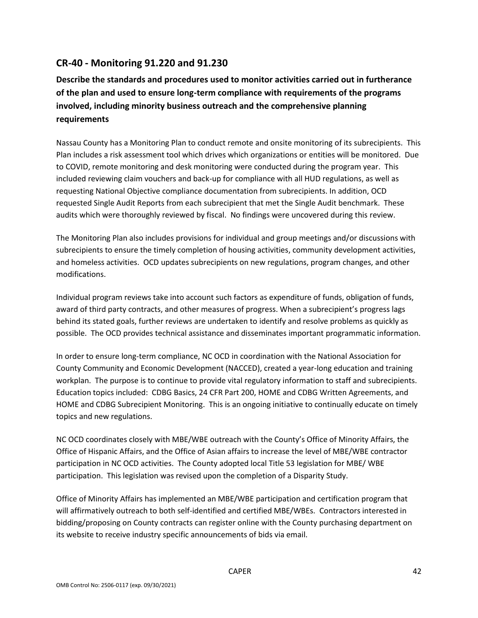## **CR-40 - Monitoring 91.220 and 91.230**

**Describe the standards and procedures used to monitor activities carried out in furtherance of the plan and used to ensure long-term compliance with requirements of the programs involved, including minority business outreach and the comprehensive planning requirements**

Nassau County has a Monitoring Plan to conduct remote and onsite monitoring of its subrecipients. This Plan includes a risk assessment tool which drives which organizations or entities will be monitored. Due to COVID, remote monitoring and desk monitoring were conducted during the program year. This included reviewing claim vouchers and back-up for compliance with all HUD regulations, as well as requesting National Objective compliance documentation from subrecipients. In addition, OCD requested Single Audit Reports from each subrecipient that met the Single Audit benchmark. These audits which were thoroughly reviewed by fiscal. No findings were uncovered during this review.

The Monitoring Plan also includes provisions for individual and group meetings and/or discussions with subrecipients to ensure the timely completion of housing activities, community development activities, and homeless activities. OCD updates subrecipients on new regulations, program changes, and other modifications.

Individual program reviews take into account such factors as expenditure of funds, obligation of funds, award of third party contracts, and other measures of progress. When a subrecipient's progress lags behind its stated goals, further reviews are undertaken to identify and resolve problems as quickly as possible. The OCD provides technical assistance and disseminates important programmatic information.

In order to ensure long-term compliance, NC OCD in coordination with the National Association for County Community and Economic Development (NACCED), created a year-long education and training workplan. The purpose is to continue to provide vital regulatory information to staff and subrecipients. Education topics included: CDBG Basics, 24 CFR Part 200, HOME and CDBG Written Agreements, and HOME and CDBG Subrecipient Monitoring. This is an ongoing initiative to continually educate on timely topics and new regulations.

NC OCD coordinates closely with MBE/WBE outreach with the County's Office of Minority Affairs, the Office of Hispanic Affairs, and the Office of Asian affairs to increase the level of MBE/WBE contractor participation in NC OCD activities. The County adopted local Title 53 legislation for MBE/ WBE participation. This legislation was revised upon the completion of a Disparity Study.

Office of Minority Affairs has implemented an MBE/WBE participation and certification program that will affirmatively outreach to both self-identified and certified MBE/WBEs. Contractors interested in bidding/proposing on County contracts can register online with the County purchasing department on its website to receive industry specific announcements of bids via email.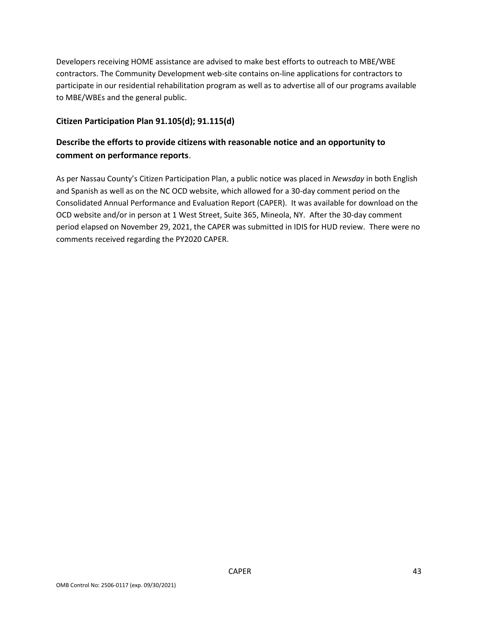Developers receiving HOME assistance are advised to make best efforts to outreach to MBE/WBE contractors. The Community Development web-site contains on-line applications for contractors to participate in our residential rehabilitation program as well as to advertise all of our programs available to MBE/WBEs and the general public.

#### **Citizen Participation Plan 91.105(d); 91.115(d)**

## **Describe the efforts to provide citizens with reasonable notice and an opportunity to comment on performance reports**.

As per Nassau County's Citizen Participation Plan, a public notice was placed in *Newsday* in both English and Spanish as well as on the NC OCD website, which allowed for a 30-day comment period on the Consolidated Annual Performance and Evaluation Report (CAPER). It was available for download on the OCD website and/or in person at 1 West Street, Suite 365, Mineola, NY. After the 30-day comment period elapsed on November 29, 2021, the CAPER was submitted in IDIS for HUD review. There were no comments received regarding the PY2020 CAPER.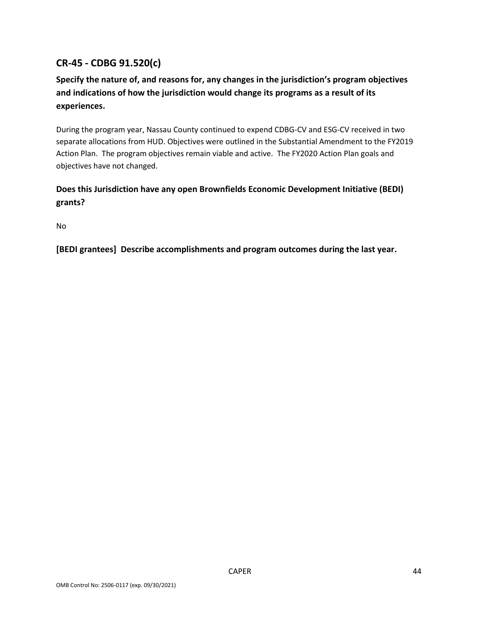## **CR-45 - CDBG 91.520(c)**

## **Specify the nature of, and reasons for, any changes in the jurisdiction's program objectives and indications of how the jurisdiction would change its programs as a result of its experiences.**

During the program year, Nassau County continued to expend CDBG-CV and ESG-CV received in two separate allocations from HUD. Objectives were outlined in the Substantial Amendment to the FY2019 Action Plan. The program objectives remain viable and active. The FY2020 Action Plan goals and objectives have not changed.

## **Does this Jurisdiction have any open Brownfields Economic Development Initiative (BEDI) grants?**

No

**[BEDI grantees] Describe accomplishments and program outcomes during the last year.**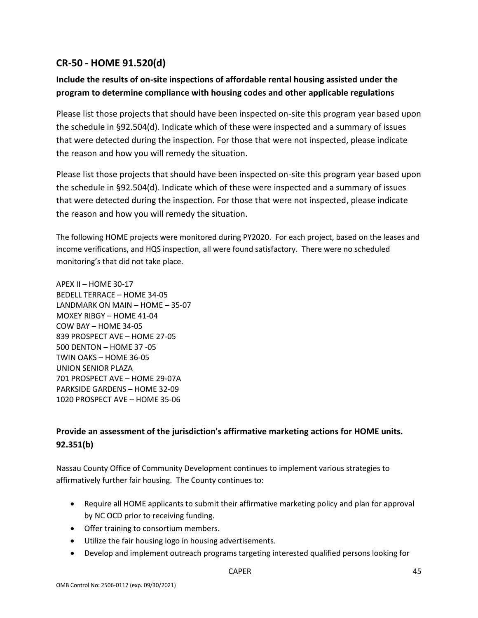## **CR-50 - HOME 91.520(d)**

## **Include the results of on-site inspections of affordable rental housing assisted under the program to determine compliance with housing codes and other applicable regulations**

Please list those projects that should have been inspected on-site this program year based upon the schedule in §92.504(d). Indicate which of these were inspected and a summary of issues that were detected during the inspection. For those that were not inspected, please indicate the reason and how you will remedy the situation.

Please list those projects that should have been inspected on-site this program year based upon the schedule in §92.504(d). Indicate which of these were inspected and a summary of issues that were detected during the inspection. For those that were not inspected, please indicate the reason and how you will remedy the situation.

The following HOME projects were monitored during PY2020. For each project, based on the leases and income verifications, and HQS inspection, all were found satisfactory. There were no scheduled monitoring's that did not take place.

APEX II – HOME 30-17 BEDELL TERRACE – HOME 34-05 LANDMARK ON MAIN – HOME – 35-07 MOXEY RIBGY – HOME 41-04 COW BAY – HOME 34-05 839 PROSPECT AVE – HOME 27-05 500 DENTON – HOME 37 -05 TWIN OAKS – HOME 36-05 UNION SENIOR PLAZA 701 PROSPECT AVE – HOME 29-07A PARKSIDE GARDENS – HOME 32-09 1020 PROSPECT AVE – HOME 35-06

## **Provide an assessment of the jurisdiction's affirmative marketing actions for HOME units. 92.351(b)**

Nassau County Office of Community Development continues to implement various strategies to affirmatively further fair housing. The County continues to:

- Require all HOME applicants to submit their affirmative marketing policy and plan for approval by NC OCD prior to receiving funding.
- Offer training to consortium members.
- Utilize the fair housing logo in housing advertisements.
- Develop and implement outreach programs targeting interested qualified persons looking for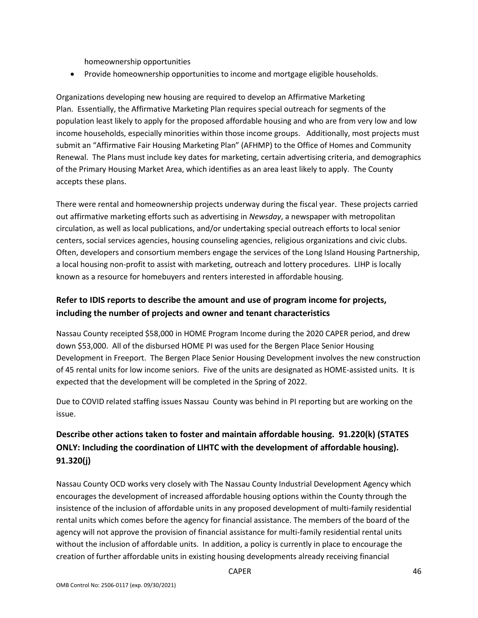homeownership opportunities

• Provide homeownership opportunities to income and mortgage eligible households.

Organizations developing new housing are required to develop an Affirmative Marketing Plan. Essentially, the Affirmative Marketing Plan requires special outreach for segments of the population least likely to apply for the proposed affordable housing and who are from very low and low income households, especially minorities within those income groups. Additionally, most projects must submit an "Affirmative Fair Housing Marketing Plan" (AFHMP) to the Office of Homes and Community Renewal. The Plans must include key dates for marketing, certain advertising criteria, and demographics of the Primary Housing Market Area, which identifies as an area least likely to apply. The County accepts these plans.

There were rental and homeownership projects underway during the fiscal year. These projects carried out affirmative marketing efforts such as advertising in *Newsday*, a newspaper with metropolitan circulation, as well as local publications, and/or undertaking special outreach efforts to local senior centers, social services agencies, housing counseling agencies, religious organizations and civic clubs. Often, developers and consortium members engage the services of the Long Island Housing Partnership, a local housing non-profit to assist with marketing, outreach and lottery procedures. LIHP is locally known as a resource for homebuyers and renters interested in affordable housing.

## **Refer to IDIS reports to describe the amount and use of program income for projects, including the number of projects and owner and tenant characteristics**

Nassau County receipted \$58,000 in HOME Program Income during the 2020 CAPER period, and drew down \$53,000. All of the disbursed HOME PI was used for the Bergen Place Senior Housing Development in Freeport. The Bergen Place Senior Housing Development involves the new construction of 45 rental units for low income seniors. Five of the units are designated as HOME-assisted units. It is expected that the development will be completed in the Spring of 2022.

Due to COVID related staffing issues Nassau County was behind in PI reporting but are working on the issue.

## **Describe other actions taken to foster and maintain affordable housing. 91.220(k) (STATES ONLY: Including the coordination of LIHTC with the development of affordable housing). 91.320(j)**

Nassau County OCD works very closely with The Nassau County Industrial Development Agency which encourages the development of increased affordable housing options within the County through the insistence of the inclusion of affordable units in any proposed development of multi-family residential rental units which comes before the agency for financial assistance. The members of the board of the agency will not approve the provision of financial assistance for multi-family residential rental units without the inclusion of affordable units. In addition, a policy is currently in place to encourage the creation of further affordable units in existing housing developments already receiving financial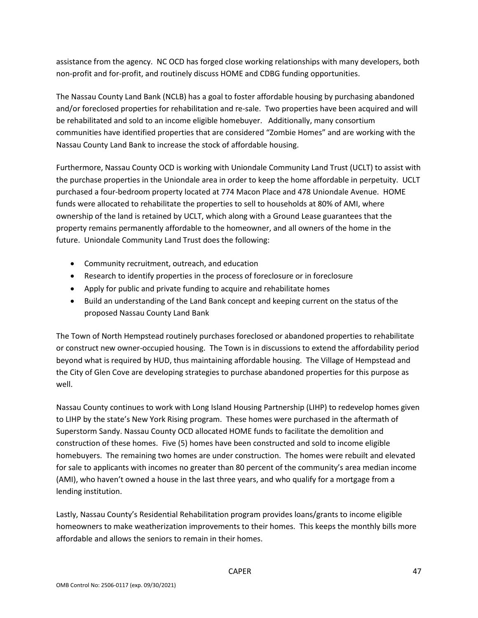assistance from the agency. NC OCD has forged close working relationships with many developers, both non-profit and for-profit, and routinely discuss HOME and CDBG funding opportunities.

The Nassau County Land Bank (NCLB) has a goal to foster affordable housing by purchasing abandoned and/or foreclosed properties for rehabilitation and re-sale. Two properties have been acquired and will be rehabilitated and sold to an income eligible homebuyer. Additionally, many consortium communities have identified properties that are considered "Zombie Homes" and are working with the Nassau County Land Bank to increase the stock of affordable housing.

Furthermore, Nassau County OCD is working with Uniondale Community Land Trust (UCLT) to assist with the purchase properties in the Uniondale area in order to keep the home affordable in perpetuity. UCLT purchased a four-bedroom property located at 774 Macon Place and 478 Uniondale Avenue. HOME funds were allocated to rehabilitate the properties to sell to households at 80% of AMI, where ownership of the land is retained by UCLT, which along with a Ground Lease guarantees that the property remains permanently affordable to the homeowner, and all owners of the home in the future. Uniondale Community Land Trust does the following:

- Community recruitment, outreach, and education
- Research to identify properties in the process of foreclosure or in foreclosure
- Apply for public and private funding to acquire and rehabilitate homes
- Build an understanding of the Land Bank concept and keeping current on the status of the proposed Nassau County Land Bank

The Town of North Hempstead routinely purchases foreclosed or abandoned properties to rehabilitate or construct new owner-occupied housing. The Town is in discussions to extend the affordability period beyond what is required by HUD, thus maintaining affordable housing. The Village of Hempstead and the City of Glen Cove are developing strategies to purchase abandoned properties for this purpose as well.

Nassau County continues to work with Long Island Housing Partnership (LIHP) to redevelop homes given to LIHP by the state's New York Rising program. These homes were purchased in the aftermath of Superstorm Sandy. Nassau County OCD allocated HOME funds to facilitate the demolition and construction of these homes. Five (5) homes have been constructed and sold to income eligible homebuyers. The remaining two homes are under construction. The homes were rebuilt and elevated for sale to applicants with incomes no greater than 80 percent of the community's area median income (AMI), who haven't owned a house in the last three years, and who qualify for a mortgage from a lending institution.

Lastly, Nassau County's Residential Rehabilitation program provides loans/grants to income eligible homeowners to make weatherization improvements to their homes. This keeps the monthly bills more affordable and allows the seniors to remain in their homes.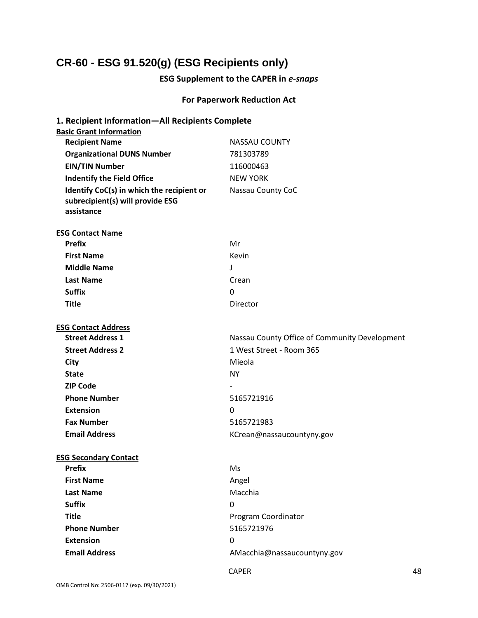## **CR-60 - ESG 91.520(g) (ESG Recipients only)**

## **ESG Supplement to the CAPER in** *e-snaps*

## **For Paperwork Reduction Act**

| 1. Recipient Information-All Recipients Complete |                                               |    |
|--------------------------------------------------|-----------------------------------------------|----|
| <b>Basic Grant Information</b>                   |                                               |    |
| <b>Recipient Name</b>                            | <b>NASSAU COUNTY</b>                          |    |
| <b>Organizational DUNS Number</b>                | 781303789                                     |    |
| <b>EIN/TIN Number</b>                            | 116000463                                     |    |
| <b>Indentify the Field Office</b>                | <b>NEW YORK</b>                               |    |
| Identify CoC(s) in which the recipient or        | Nassau County CoC                             |    |
| subrecipient(s) will provide ESG                 |                                               |    |
| assistance                                       |                                               |    |
| <b>ESG Contact Name</b>                          |                                               |    |
| <b>Prefix</b>                                    | Mr                                            |    |
| <b>First Name</b>                                | Kevin                                         |    |
| <b>Middle Name</b>                               | $\mathsf{I}$                                  |    |
| <b>Last Name</b>                                 | Crean                                         |    |
| <b>Suffix</b>                                    | $\mathbf{0}$                                  |    |
| <b>Title</b>                                     | Director                                      |    |
|                                                  |                                               |    |
| <b>ESG Contact Address</b>                       |                                               |    |
| <b>Street Address 1</b>                          | Nassau County Office of Community Development |    |
| <b>Street Address 2</b>                          | 1 West Street - Room 365                      |    |
| City                                             | Mieola                                        |    |
| <b>State</b>                                     | <b>NY</b>                                     |    |
| <b>ZIP Code</b>                                  |                                               |    |
| <b>Phone Number</b>                              | 5165721916                                    |    |
| <b>Extension</b>                                 | $\mathbf{0}$                                  |    |
| <b>Fax Number</b>                                | 5165721983                                    |    |
| <b>Email Address</b>                             | KCrean@nassaucountyny.gov                     |    |
|                                                  |                                               |    |
| <b>ESG Secondary Contact</b>                     |                                               |    |
| Prefix                                           | Ms                                            |    |
| <b>First Name</b>                                | Angel                                         |    |
| <b>Last Name</b>                                 | Macchia                                       |    |
| <b>Suffix</b>                                    | 0                                             |    |
| <b>Title</b>                                     | Program Coordinator                           |    |
| <b>Phone Number</b>                              | 5165721976                                    |    |
| <b>Extension</b>                                 | 0                                             |    |
| <b>Email Address</b>                             | AMacchia@nassaucountyny.gov                   |    |
|                                                  | <b>CAPER</b>                                  | 48 |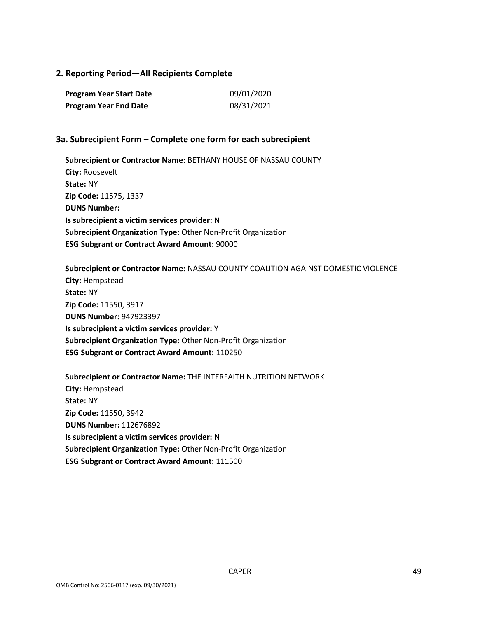#### **2. Reporting Period—All Recipients Complete**

| <b>Program Year Start Date</b> | 09/01/2020 |
|--------------------------------|------------|
| <b>Program Year End Date</b>   | 08/31/2021 |

#### **3a. Subrecipient Form – Complete one form for each subrecipient**

**Subrecipient or Contractor Name:** BETHANY HOUSE OF NASSAU COUNTY **City:** Roosevelt **State:** NY **Zip Code:** 11575, 1337 **DUNS Number: Is subrecipient a victim services provider:** N **Subrecipient Organization Type:** Other Non-Profit Organization **ESG Subgrant or Contract Award Amount:** 90000

**Subrecipient or Contractor Name:** NASSAU COUNTY COALITION AGAINST DOMESTIC VIOLENCE **City:** Hempstead **State:** NY **Zip Code:** 11550, 3917 **DUNS Number:** 947923397 **Is subrecipient a victim services provider:** Y **Subrecipient Organization Type:** Other Non-Profit Organization **ESG Subgrant or Contract Award Amount:** 110250

**Subrecipient or Contractor Name:** THE INTERFAITH NUTRITION NETWORK **City:** Hempstead **State:** NY **Zip Code:** 11550, 3942 **DUNS Number:** 112676892 **Is subrecipient a victim services provider:** N **Subrecipient Organization Type:** Other Non-Profit Organization **ESG Subgrant or Contract Award Amount:** 111500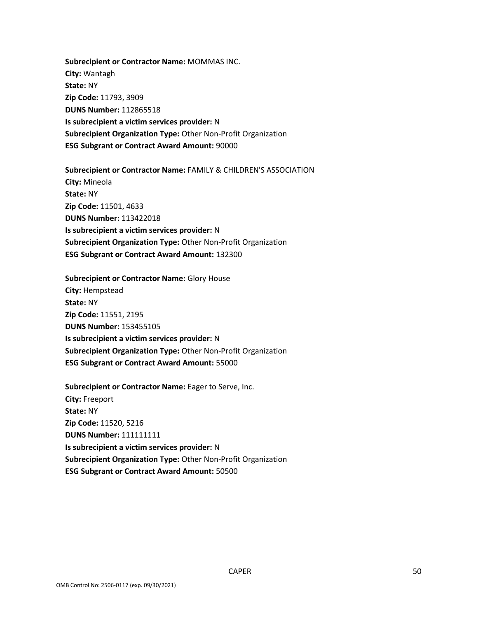**Subrecipient or Contractor Name:** MOMMAS INC. **City:** Wantagh **State:** NY **Zip Code:** 11793, 3909 **DUNS Number:** 112865518 **Is subrecipient a victim services provider:** N **Subrecipient Organization Type:** Other Non-Profit Organization **ESG Subgrant or Contract Award Amount:** 90000

**Subrecipient or Contractor Name:** FAMILY & CHILDREN'S ASSOCIATION **City:** Mineola **State:** NY **Zip Code:** 11501, 4633 **DUNS Number:** 113422018 **Is subrecipient a victim services provider:** N **Subrecipient Organization Type:** Other Non-Profit Organization **ESG Subgrant or Contract Award Amount:** 132300

**Subrecipient or Contractor Name:** Glory House **City:** Hempstead **State:** NY **Zip Code:** 11551, 2195 **DUNS Number:** 153455105 **Is subrecipient a victim services provider:** N **Subrecipient Organization Type:** Other Non-Profit Organization **ESG Subgrant or Contract Award Amount:** 55000

**Subrecipient or Contractor Name:** Eager to Serve, Inc. **City:** Freeport **State:** NY **Zip Code:** 11520, 5216 **DUNS Number:** 111111111 **Is subrecipient a victim services provider:** N **Subrecipient Organization Type:** Other Non-Profit Organization **ESG Subgrant or Contract Award Amount:** 50500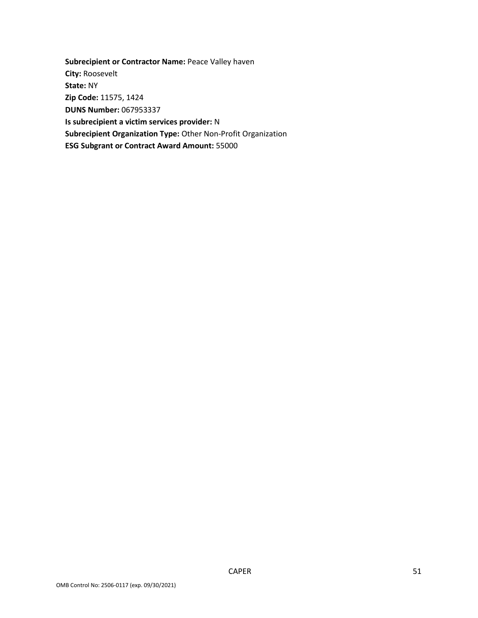**Subrecipient or Contractor Name:** Peace Valley haven **City:** Roosevelt **State:** NY **Zip Code:** 11575, 1424 **DUNS Number:** 067953337 **Is subrecipient a victim services provider:** N **Subrecipient Organization Type:** Other Non-Profit Organization **ESG Subgrant or Contract Award Amount:** 55000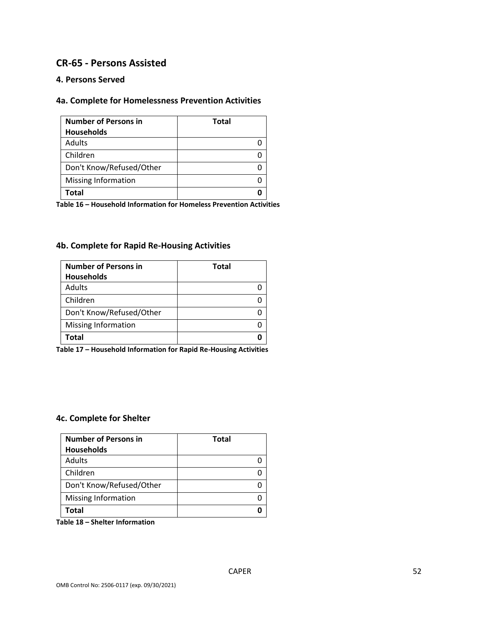## **CR-65 - Persons Assisted**

#### **4. Persons Served**

#### **4a. Complete for Homelessness Prevention Activities**

| <b>Number of Persons in</b> | <b>Total</b> |
|-----------------------------|--------------|
| <b>Households</b>           |              |
| <b>Adults</b>               |              |
| Children                    |              |
| Don't Know/Refused/Other    |              |
| <b>Missing Information</b>  |              |
| <b>Cotal</b>                |              |

**Table 16 – Household Information for Homeless Prevention Activities**

#### **4b. Complete for Rapid Re-Housing Activities**

| <b>Number of Persons in</b> | <b>Total</b> |
|-----------------------------|--------------|
| <b>Households</b>           |              |
| Adults                      |              |
| Children                    |              |
| Don't Know/Refused/Other    |              |
| <b>Missing Information</b>  |              |
| Total                       |              |

**Table 17 – Household Information for Rapid Re-Housing Activities**

#### **4c. Complete for Shelter**

| <b>Number of Persons in</b><br><b>Households</b> | <b>Total</b> |
|--------------------------------------------------|--------------|
| <b>Adults</b>                                    |              |
| Children                                         |              |
| Don't Know/Refused/Other                         |              |
| <b>Missing Information</b>                       |              |
| Total                                            |              |

**Table 18 – Shelter Information**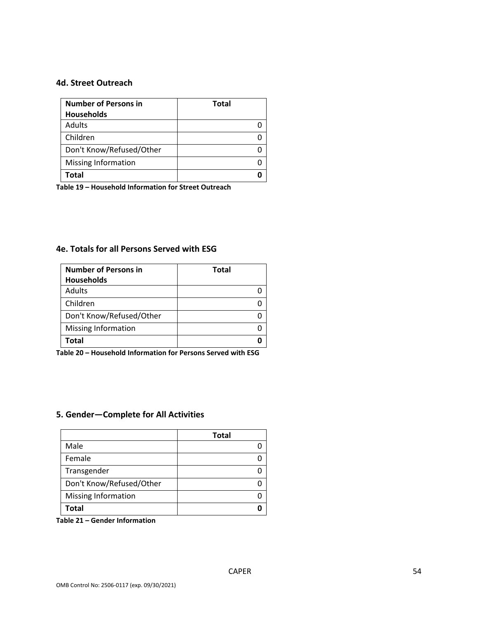#### **4d. Street Outreach**

| <b>Number of Persons in</b> | <b>Total</b> |
|-----------------------------|--------------|
| <b>Households</b>           |              |
| Adults                      |              |
| Children                    |              |
| Don't Know/Refused/Other    |              |
| <b>Missing Information</b>  |              |
| <b>Total</b>                |              |

**Table 19 – Household Information for Street Outreach** 

#### **4e. Totals for all Persons Served with ESG**

| <b>Number of Persons in</b> | <b>Total</b> |
|-----------------------------|--------------|
| <b>Households</b>           |              |
| <b>Adults</b>               |              |
| Children                    |              |
| Don't Know/Refused/Other    |              |
| <b>Missing Information</b>  |              |
| Total                       |              |

**Table 20 – Household Information for Persons Served with ESG**

#### **5. Gender—Complete for All Activities**

|                            | <b>Total</b> |
|----------------------------|--------------|
| Male                       |              |
| Female                     |              |
| Transgender                |              |
| Don't Know/Refused/Other   |              |
| <b>Missing Information</b> |              |
| Total                      |              |

**Table 21 – Gender Information**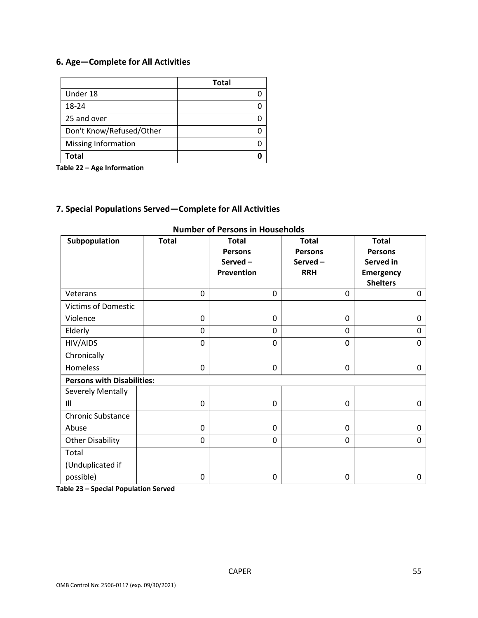## **6. Age—Complete for All Activities**

|                            | <b>Total</b> |
|----------------------------|--------------|
| Under 18                   |              |
| 18-24                      |              |
| 25 and over                |              |
| Don't Know/Refused/Other   |              |
| <b>Missing Information</b> |              |
| Total                      |              |

**Table 22 – Age Information**

#### **7. Special Populations Served—Complete for All Activities**

| Subpopulation                     | <b>Total</b> | <b>Total</b>   | <b>Total</b>   | <b>Total</b>    |  |
|-----------------------------------|--------------|----------------|----------------|-----------------|--|
|                                   |              | <b>Persons</b> | <b>Persons</b> | <b>Persons</b>  |  |
|                                   |              | Served-        | Served-        | Served in       |  |
|                                   |              | Prevention     | <b>RRH</b>     | Emergency       |  |
|                                   |              |                |                | <b>Shelters</b> |  |
| Veterans                          | 0            | 0              | $\mathbf 0$    | 0               |  |
| <b>Victims of Domestic</b>        |              |                |                |                 |  |
| Violence                          | 0            | 0              | 0              | 0               |  |
| Elderly                           | 0            | 0              | $\mathbf 0$    | 0               |  |
| HIV/AIDS                          | 0            | 0              | $\mathbf 0$    | 0               |  |
| Chronically                       |              |                |                |                 |  |
| Homeless                          | 0            | 0              | 0              | 0               |  |
| <b>Persons with Disabilities:</b> |              |                |                |                 |  |
| Severely Mentally                 |              |                |                |                 |  |
| $\mathsf{III}$                    | 0            | 0              | $\mathbf 0$    | 0               |  |
| <b>Chronic Substance</b>          |              |                |                |                 |  |
| Abuse                             | 0            | 0              | 0              | 0               |  |
| <b>Other Disability</b>           | 0            | 0              | $\overline{0}$ | 0               |  |
| Total                             |              |                |                |                 |  |
| (Unduplicated if                  |              |                |                |                 |  |
| possible)                         | 0            | 0              | 0              | 0               |  |

#### **Number of Persons in Households**

**Table 23 – Special Population Served**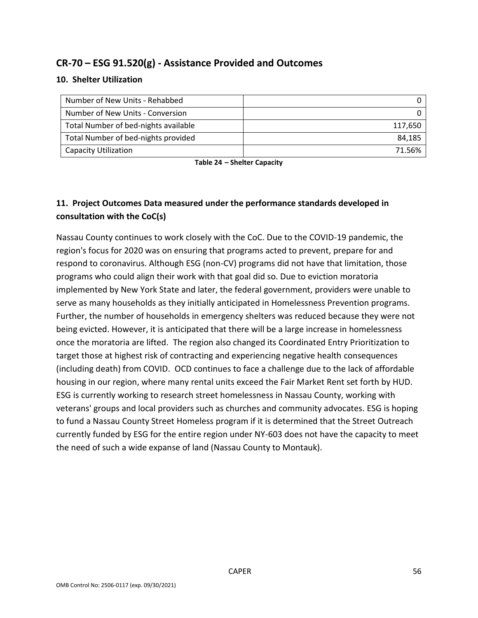## **CR-70 – ESG 91.520(g) - Assistance Provided and Outcomes**

#### **10. Shelter Utilization**

| Number of New Units - Rehabbed       |         |
|--------------------------------------|---------|
| Number of New Units - Conversion     |         |
| Total Number of bed-nights available | 117,650 |
| Total Number of bed-nights provided  | 84,185  |
| <b>Capacity Utilization</b>          | 71 56%  |

**Table 24 – Shelter Capacity**

## **11. Project Outcomes Data measured under the performance standards developed in consultation with the CoC(s)**

Nassau County continues to work closely with the CoC. Due to the COVID-19 pandemic, the region's focus for 2020 was on ensuring that programs acted to prevent, prepare for and respond to coronavirus. Although ESG (non-CV) programs did not have that limitation, those programs who could align their work with that goal did so. Due to eviction moratoria implemented by New York State and later, the federal government, providers were unable to serve as many households as they initially anticipated in Homelessness Prevention programs. Further, the number of households in emergency shelters was reduced because they were not being evicted. However, it is anticipated that there will be a large increase in homelessness once the moratoria are lifted. The region also changed its Coordinated Entry Prioritization to target those at highest risk of contracting and experiencing negative health consequences (including death) from COVID. OCD continues to face a challenge due to the lack of affordable housing in our region, where many rental units exceed the Fair Market Rent set forth by HUD. ESG is currently working to research street homelessness in Nassau County, working with veterans' groups and local providers such as churches and community advocates. ESG is hoping to fund a Nassau County Street Homeless program if it is determined that the Street Outreach currently funded by ESG for the entire region under NY-603 does not have the capacity to meet the need of such a wide expanse of land (Nassau County to Montauk).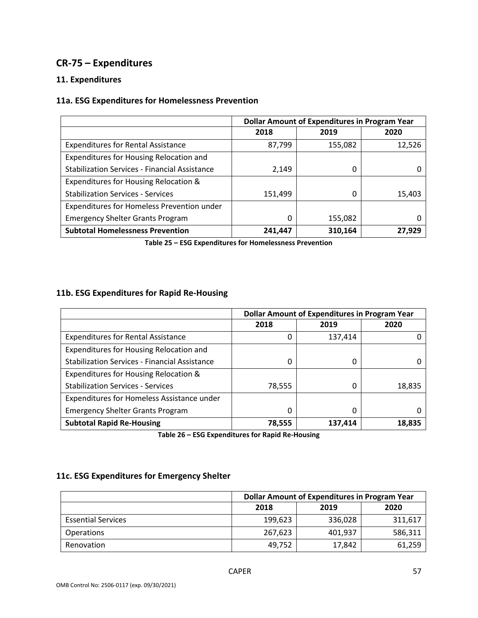## **CR-75 – Expenditures**

## **11. Expenditures**

#### **11a. ESG Expenditures for Homelessness Prevention**

|                                                      | <b>Dollar Amount of Expenditures in Program Year</b> |         |        |
|------------------------------------------------------|------------------------------------------------------|---------|--------|
|                                                      | 2018                                                 | 2019    | 2020   |
| <b>Expenditures for Rental Assistance</b>            | 87,799                                               | 155,082 | 12,526 |
| Expenditures for Housing Relocation and              |                                                      |         |        |
| <b>Stabilization Services - Financial Assistance</b> | 2,149                                                | 0       |        |
| Expenditures for Housing Relocation &                |                                                      |         |        |
| <b>Stabilization Services - Services</b>             | 151,499                                              | 0       | 15,403 |
| Expenditures for Homeless Prevention under           |                                                      |         |        |
| <b>Emergency Shelter Grants Program</b>              | 0                                                    | 155,082 | 0      |
| <b>Subtotal Homelessness Prevention</b>              | 241,447                                              | 310,164 | 27,929 |

**Table 25 – ESG Expenditures for Homelessness Prevention**

#### **11b. ESG Expenditures for Rapid Re-Housing**

|                                                      | <b>Dollar Amount of Expenditures in Program Year</b> |         |        |
|------------------------------------------------------|------------------------------------------------------|---------|--------|
|                                                      | 2018                                                 | 2019    | 2020   |
| <b>Expenditures for Rental Assistance</b>            |                                                      | 137,414 |        |
| Expenditures for Housing Relocation and              |                                                      |         |        |
| <b>Stabilization Services - Financial Assistance</b> |                                                      | 0       |        |
| Expenditures for Housing Relocation &                |                                                      |         |        |
| <b>Stabilization Services - Services</b>             | 78,555                                               | 0       | 18,835 |
| Expenditures for Homeless Assistance under           |                                                      |         |        |
| <b>Emergency Shelter Grants Program</b>              | 0                                                    | 0       |        |
| <b>Subtotal Rapid Re-Housing</b>                     | 78,555                                               | 137,414 | 18,835 |

**Table 26 – ESG Expenditures for Rapid Re-Housing**

#### **11c. ESG Expenditures for Emergency Shelter**

|                           | <b>Dollar Amount of Expenditures in Program Year</b> |         |         |
|---------------------------|------------------------------------------------------|---------|---------|
|                           | 2018<br>2019<br>2020                                 |         |         |
| <b>Essential Services</b> | 199,623                                              | 336,028 | 311,617 |
| <b>Operations</b>         | 267,623                                              | 401,937 | 586,311 |
| Renovation                | 49.752                                               | 17,842  | 61,259  |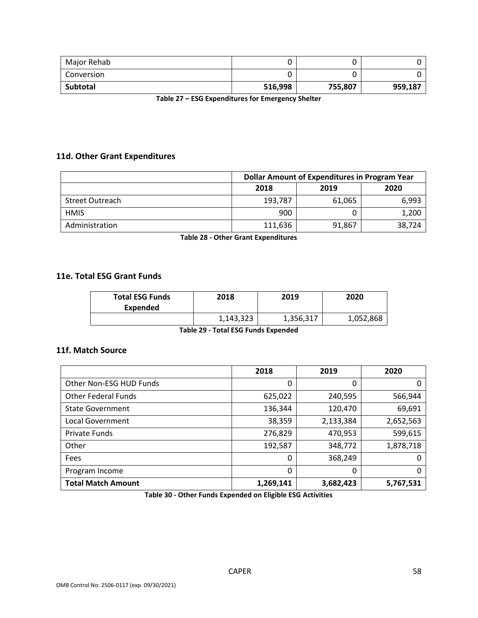| Major Rehab |         | ັ       |         |
|-------------|---------|---------|---------|
| Conversion  |         |         |         |
| Subtotal    | 516,998 | 755,807 | 959,187 |

**Table 27 – ESG Expenditures for Emergency Shelter**

#### **11d. Other Grant Expenditures**

|                        | <b>Dollar Amount of Expenditures in Program Year</b> |        |        |
|------------------------|------------------------------------------------------|--------|--------|
|                        | 2020<br>2018<br>2019                                 |        |        |
| <b>Street Outreach</b> | 193,787                                              | 61,065 | 6,993  |
| <b>HMIS</b>            | 900                                                  |        | 1,200  |
| Administration         | 111,636                                              | 91,867 | 38,724 |

**Table 28 - Other Grant Expenditures**

#### **11e. Total ESG Grant Funds**

| <b>Total ESG Funds</b><br>Expended | 2018      | 2019      | 2020      |
|------------------------------------|-----------|-----------|-----------|
|                                    | 1,143,323 | 1,356,317 | 1,052,868 |

**Table 29 - Total ESG Funds Expended**

#### **11f. Match Source**

|                            | 2018      | 2019      | 2020      |
|----------------------------|-----------|-----------|-----------|
| Other Non-ESG HUD Funds    | 0         | 0         |           |
| <b>Other Federal Funds</b> | 625,022   | 240,595   | 566,944   |
| <b>State Government</b>    | 136,344   | 120,470   | 69,691    |
| Local Government           | 38,359    | 2,133,384 | 2,652,563 |
| <b>Private Funds</b>       | 276,829   | 470,953   | 599,615   |
| Other                      | 192,587   | 348,772   | 1,878,718 |
| Fees                       | $\Omega$  | 368,249   |           |
| Program Income             | 0         | 0         | 0         |
| <b>Total Match Amount</b>  | 1,269,141 | 3,682,423 | 5,767,531 |

**Table 30 - Other Funds Expended on Eligible ESG Activities**